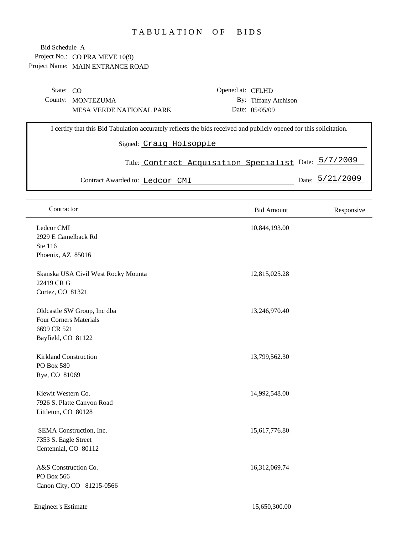## TABULATION OF BIDS

| State: CO |                                                                                                                     | Opened at: CFLHD                                      |                      |  |                 |  |
|-----------|---------------------------------------------------------------------------------------------------------------------|-------------------------------------------------------|----------------------|--|-----------------|--|
|           | County: MONTEZUMA                                                                                                   |                                                       | By: Tiffany Atchison |  |                 |  |
|           | <b>MESA VERDE NATIONAL PARK</b>                                                                                     |                                                       | Date: 05/05/09       |  |                 |  |
|           | I certify that this Bid Tabulation accurately reflects the bids received and publicly opened for this solicitation. |                                                       |                      |  |                 |  |
|           | Signed: Craig Holsopple                                                                                             |                                                       |                      |  |                 |  |
|           |                                                                                                                     | Title: Contract Acquisition Specialist Date: 5/7/2009 |                      |  |                 |  |
|           | Contract Awarded to: Ledcor CMI                                                                                     |                                                       |                      |  | Date: 5/21/2009 |  |

| Contractor                                                                                        | <b>Bid Amount</b> | Responsive |
|---------------------------------------------------------------------------------------------------|-------------------|------------|
| Ledcor CMI<br>2929 E Camelback Rd<br>Ste 116<br>Phoenix, AZ 85016                                 | 10,844,193.00     |            |
| Skanska USA Civil West Rocky Mounta<br>22419 CR G<br>Cortez, CO 81321                             | 12,815,025.28     |            |
| Oldcastle SW Group, Inc dba<br><b>Four Corners Materials</b><br>6699 CR 521<br>Bayfield, CO 81122 | 13,246,970.40     |            |
| Kirkland Construction<br>PO Box 580<br>Rye, CO 81069                                              | 13,799,562.30     |            |
| Kiewit Western Co.<br>7926 S. Platte Canyon Road<br>Littleton, CO 80128                           | 14,992,548.00     |            |
| SEMA Construction, Inc.<br>7353 S. Eagle Street<br>Centennial, CO 80112                           | 15,617,776.80     |            |
| A&S Construction Co.<br>PO Box 566<br>Canon City, CO 81215-0566                                   | 16,312,069.74     |            |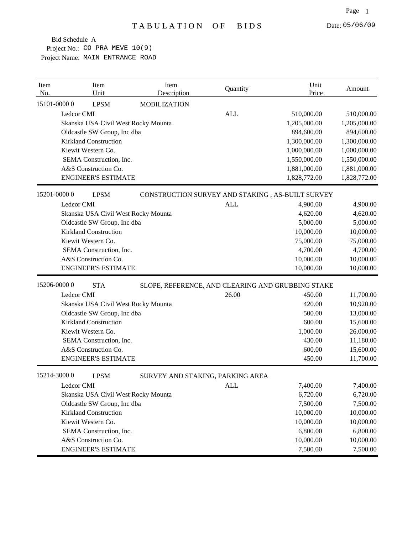| Item<br>No. | Item<br>Unit                 | Item<br>Description                               | Quantity   | Unit<br>Price | Amount       |
|-------------|------------------------------|---------------------------------------------------|------------|---------------|--------------|
| 15101-00000 | <b>LPSM</b>                  | <b>MOBILIZATION</b>                               |            |               |              |
| Ledcor CMI  |                              |                                                   | <b>ALL</b> | 510,000.00    | 510,000.00   |
|             |                              | Skanska USA Civil West Rocky Mounta               |            | 1,205,000.00  | 1,205,000.00 |
|             | Oldcastle SW Group, Inc dba  |                                                   |            | 894,600.00    | 894,600.00   |
|             | <b>Kirkland Construction</b> |                                                   |            | 1,300,000.00  | 1,300,000.00 |
|             | Kiewit Western Co.           |                                                   |            | 1,000,000.00  | 1,000,000.00 |
|             | SEMA Construction, Inc.      |                                                   |            | 1,550,000.00  | 1,550,000.00 |
|             | A&S Construction Co.         |                                                   |            | 1,881,000.00  | 1,881,000.00 |
|             | <b>ENGINEER'S ESTIMATE</b>   |                                                   |            | 1,828,772.00  | 1,828,772.00 |
| 15201-00000 | <b>LPSM</b>                  | CONSTRUCTION SURVEY AND STAKING, AS-BUILT SURVEY  |            |               |              |
| Ledcor CMI  |                              |                                                   | <b>ALL</b> | 4,900.00      | 4,900.00     |
|             |                              | Skanska USA Civil West Rocky Mounta               |            | 4,620.00      | 4,620.00     |
|             | Oldcastle SW Group, Inc dba  |                                                   |            | 5,000.00      | 5,000.00     |
|             | <b>Kirkland Construction</b> |                                                   |            | 10,000.00     | 10,000.00    |
|             | Kiewit Western Co.           |                                                   |            | 75,000.00     | 75,000.00    |
|             | SEMA Construction, Inc.      |                                                   |            | 4,700.00      | 4,700.00     |
|             | A&S Construction Co.         |                                                   |            | 10,000.00     | 10,000.00    |
|             | <b>ENGINEER'S ESTIMATE</b>   |                                                   |            | 10,000.00     | 10,000.00    |
| 15206-00000 | <b>STA</b>                   | SLOPE, REFERENCE, AND CLEARING AND GRUBBING STAKE |            |               |              |
| Ledcor CMI  |                              |                                                   | 26.00      | 450.00        | 11,700.00    |
|             |                              | Skanska USA Civil West Rocky Mounta               |            | 420.00        | 10,920.00    |
|             | Oldcastle SW Group, Inc dba  |                                                   |            | 500.00        | 13,000.00    |
|             | <b>Kirkland Construction</b> |                                                   |            | 600.00        | 15,600.00    |
|             | Kiewit Western Co.           |                                                   |            | 1,000.00      | 26,000.00    |
|             | SEMA Construction, Inc.      |                                                   |            | 430.00        | 11,180.00    |
|             | A&S Construction Co.         |                                                   |            | 600.00        | 15,600.00    |
|             | <b>ENGINEER'S ESTIMATE</b>   |                                                   |            | 450.00        | 11,700.00    |
| 15214-30000 | <b>LPSM</b>                  | SURVEY AND STAKING, PARKING AREA                  |            |               |              |
| Ledcor CMI  |                              |                                                   | <b>ALL</b> | 7,400.00      | 7,400.00     |
|             |                              | Skanska USA Civil West Rocky Mounta               |            | 6,720.00      | 6,720.00     |
|             | Oldcastle SW Group, Inc dba  |                                                   |            | 7,500.00      | 7,500.00     |
|             | <b>Kirkland Construction</b> |                                                   |            | 10,000.00     | 10,000.00    |
|             | Kiewit Western Co.           |                                                   |            | 10,000.00     | 10,000.00    |
|             | SEMA Construction, Inc.      |                                                   |            | 6,800.00      | 6,800.00     |
|             | A&S Construction Co.         |                                                   |            | 10,000.00     | 10,000.00    |
|             | <b>ENGINEER'S ESTIMATE</b>   |                                                   |            | 7,500.00      | 7,500.00     |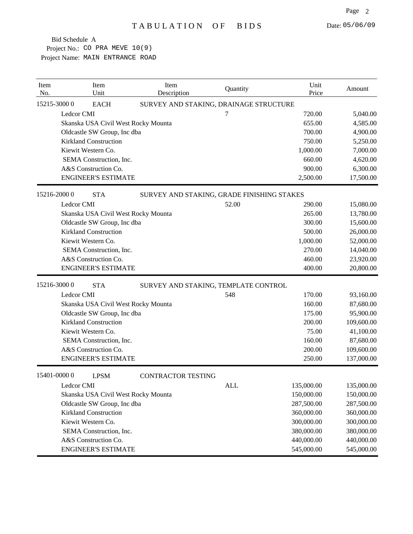| Item<br>No. | Item<br>Unit                        | Item<br>Description                        | Quantity | Unit<br>Price | Amount     |
|-------------|-------------------------------------|--------------------------------------------|----------|---------------|------------|
|             | 15215-30000<br><b>EACH</b>          | SURVEY AND STAKING, DRAINAGE STRUCTURE     |          |               |            |
|             | Ledcor CMI                          |                                            | 7        | 720.00        | 5,040.00   |
|             | Skanska USA Civil West Rocky Mounta |                                            |          | 655.00        | 4,585.00   |
|             | Oldcastle SW Group, Inc dba         |                                            |          | 700.00        | 4,900.00   |
|             | <b>Kirkland Construction</b>        |                                            |          | 750.00        | 5,250.00   |
|             | Kiewit Western Co.                  |                                            |          | 1,000.00      | 7,000.00   |
|             | SEMA Construction, Inc.             |                                            |          | 660.00        | 4,620.00   |
|             | A&S Construction Co.                |                                            |          | 900.00        | 6,300.00   |
|             | <b>ENGINEER'S ESTIMATE</b>          |                                            |          | 2,500.00      | 17,500.00  |
|             | 15216-2000 0<br><b>STA</b>          | SURVEY AND STAKING, GRADE FINISHING STAKES |          |               |            |
|             | Ledcor CMI                          |                                            | 52.00    | 290.00        | 15,080.00  |
|             | Skanska USA Civil West Rocky Mounta |                                            |          | 265.00        | 13,780.00  |
|             | Oldcastle SW Group, Inc dba         |                                            |          | 300.00        | 15,600.00  |
|             | <b>Kirkland Construction</b>        |                                            |          | 500.00        | 26,000.00  |
|             | Kiewit Western Co.                  |                                            |          | 1,000.00      | 52,000.00  |
|             | SEMA Construction, Inc.             |                                            |          | 270.00        | 14,040.00  |
|             | A&S Construction Co.                |                                            |          | 460.00        | 23,920.00  |
|             | <b>ENGINEER'S ESTIMATE</b>          |                                            |          | 400.00        | 20,800.00  |
|             | 15216-30000<br><b>STA</b>           | SURVEY AND STAKING, TEMPLATE CONTROL       |          |               |            |
|             | Ledcor CMI                          |                                            | 548      | 170.00        | 93,160.00  |
|             | Skanska USA Civil West Rocky Mounta |                                            |          | 160.00        | 87,680.00  |
|             | Oldcastle SW Group, Inc dba         |                                            |          | 175.00        | 95,900.00  |
|             | <b>Kirkland Construction</b>        |                                            |          | 200.00        | 109,600.00 |
|             | Kiewit Western Co.                  |                                            |          | 75.00         | 41,100.00  |
|             | SEMA Construction, Inc.             |                                            |          | 160.00        | 87,680.00  |
|             | A&S Construction Co.                |                                            |          | 200.00        | 109,600.00 |
|             | <b>ENGINEER'S ESTIMATE</b>          |                                            |          | 250.00        | 137,000.00 |
|             | 15401-00000<br><b>LPSM</b>          | <b>CONTRACTOR TESTING</b>                  |          |               |            |
|             | Ledcor CMI                          |                                            | ALL      | 135,000.00    | 135,000.00 |
|             | Skanska USA Civil West Rocky Mounta |                                            |          | 150,000.00    | 150,000.00 |
|             | Oldcastle SW Group, Inc dba         |                                            |          | 287,500.00    | 287,500.00 |
|             | <b>Kirkland Construction</b>        |                                            |          | 360,000.00    | 360,000.00 |
|             | Kiewit Western Co.                  |                                            |          | 300,000.00    | 300,000.00 |
|             | SEMA Construction, Inc.             |                                            |          | 380,000.00    | 380,000.00 |
|             | A&S Construction Co.                |                                            |          | 440,000.00    | 440,000.00 |
|             | <b>ENGINEER'S ESTIMATE</b>          |                                            |          | 545,000.00    | 545,000.00 |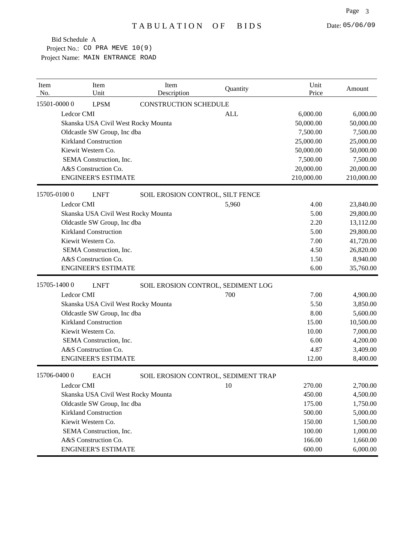| Item<br>No. | Item<br>Unit                 | Item<br>Description                 | Quantity                            | Unit<br>Price | Amount     |
|-------------|------------------------------|-------------------------------------|-------------------------------------|---------------|------------|
| 15501-00000 | <b>LPSM</b>                  | <b>CONSTRUCTION SCHEDULE</b>        |                                     |               |            |
| Ledcor CMI  |                              |                                     | <b>ALL</b>                          | 6,000.00      | 6,000.00   |
|             |                              | Skanska USA Civil West Rocky Mounta |                                     | 50,000.00     | 50,000.00  |
|             | Oldcastle SW Group, Inc dba  |                                     |                                     | 7,500.00      | 7,500.00   |
|             | <b>Kirkland Construction</b> |                                     |                                     | 25,000.00     | 25,000.00  |
|             | Kiewit Western Co.           |                                     |                                     | 50,000.00     | 50,000.00  |
|             | SEMA Construction, Inc.      |                                     |                                     | 7,500.00      | 7,500.00   |
|             | A&S Construction Co.         |                                     |                                     | 20,000.00     | 20,000.00  |
|             | <b>ENGINEER'S ESTIMATE</b>   |                                     |                                     | 210,000.00    | 210,000.00 |
| 15705-01000 | <b>LNFT</b>                  | SOIL EROSION CONTROL, SILT FENCE    |                                     |               |            |
|             | Ledcor CMI                   |                                     | 5,960                               | 4.00          | 23,840.00  |
|             |                              | Skanska USA Civil West Rocky Mounta |                                     | 5.00          | 29,800.00  |
|             | Oldcastle SW Group, Inc dba  |                                     |                                     | 2.20          | 13,112.00  |
|             | <b>Kirkland Construction</b> |                                     |                                     | 5.00          | 29,800.00  |
|             | Kiewit Western Co.           |                                     |                                     | 7.00          | 41,720.00  |
|             | SEMA Construction, Inc.      |                                     |                                     | 4.50          | 26,820.00  |
|             | A&S Construction Co.         |                                     |                                     | 1.50          | 8,940.00   |
|             | <b>ENGINEER'S ESTIMATE</b>   |                                     |                                     | 6.00          | 35,760.00  |
| 15705-14000 | <b>LNFT</b>                  |                                     | SOIL EROSION CONTROL, SEDIMENT LOG  |               |            |
| Ledcor CMI  |                              |                                     | 700                                 | 7.00          | 4,900.00   |
|             |                              | Skanska USA Civil West Rocky Mounta |                                     | 5.50          | 3,850.00   |
|             | Oldcastle SW Group, Inc dba  |                                     |                                     | 8.00          | 5,600.00   |
|             | <b>Kirkland Construction</b> |                                     |                                     | 15.00         | 10,500.00  |
|             | Kiewit Western Co.           |                                     |                                     | 10.00         | 7,000.00   |
|             | SEMA Construction, Inc.      |                                     |                                     | 6.00          | 4,200.00   |
|             | A&S Construction Co.         |                                     |                                     | 4.87          | 3,409.00   |
|             | <b>ENGINEER'S ESTIMATE</b>   |                                     |                                     | 12.00         | 8,400.00   |
| 15706-04000 | <b>EACH</b>                  |                                     | SOIL EROSION CONTROL, SEDIMENT TRAP |               |            |
| Ledcor CMI  |                              |                                     | 10                                  | 270.00        | 2,700.00   |
|             |                              | Skanska USA Civil West Rocky Mounta |                                     | 450.00        | 4,500.00   |
|             | Oldcastle SW Group, Inc dba  |                                     |                                     | 175.00        | 1,750.00   |
|             | <b>Kirkland Construction</b> |                                     |                                     | 500.00        | 5,000.00   |
|             | Kiewit Western Co.           |                                     |                                     | 150.00        | 1,500.00   |
|             | SEMA Construction, Inc.      |                                     |                                     | 100.00        | 1,000.00   |
|             | A&S Construction Co.         |                                     |                                     | 166.00        | 1,660.00   |
|             | <b>ENGINEER'S ESTIMATE</b>   |                                     |                                     | 600.00        | 6,000.00   |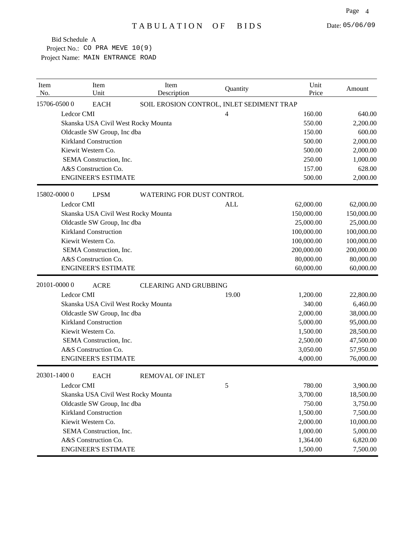| Item<br>No. | Item<br>Unit                        | Item<br>Description              | Quantity                                  | Unit<br>Price | Amount     |
|-------------|-------------------------------------|----------------------------------|-------------------------------------------|---------------|------------|
|             | 15706-05000<br><b>EACH</b>          |                                  | SOIL EROSION CONTROL, INLET SEDIMENT TRAP |               |            |
|             | Ledcor CMI                          |                                  | 4                                         | 160.00        | 640.00     |
|             | Skanska USA Civil West Rocky Mounta |                                  |                                           | 550.00        | 2,200.00   |
|             | Oldcastle SW Group, Inc dba         |                                  |                                           | 150.00        | 600.00     |
|             | <b>Kirkland Construction</b>        |                                  |                                           | 500.00        | 2,000.00   |
|             | Kiewit Western Co.                  |                                  |                                           | 500.00        | 2,000.00   |
|             | SEMA Construction, Inc.             |                                  |                                           | 250.00        | 1,000.00   |
|             | A&S Construction Co.                |                                  |                                           | 157.00        | 628.00     |
|             | <b>ENGINEER'S ESTIMATE</b>          |                                  |                                           | 500.00        | 2,000.00   |
|             | 15802-00000<br><b>LPSM</b>          | <b>WATERING FOR DUST CONTROL</b> |                                           |               |            |
|             | Ledcor CMI                          |                                  | <b>ALL</b>                                | 62,000.00     | 62,000.00  |
|             | Skanska USA Civil West Rocky Mounta |                                  |                                           | 150,000.00    | 150,000.00 |
|             | Oldcastle SW Group, Inc dba         |                                  |                                           | 25,000.00     | 25,000.00  |
|             | <b>Kirkland Construction</b>        |                                  |                                           | 100,000.00    | 100,000.00 |
|             | Kiewit Western Co.                  |                                  |                                           | 100,000.00    | 100,000.00 |
|             | SEMA Construction, Inc.             |                                  |                                           | 200,000.00    | 200,000.00 |
|             | A&S Construction Co.                |                                  |                                           | 80,000.00     | 80,000.00  |
|             | <b>ENGINEER'S ESTIMATE</b>          |                                  |                                           | 60,000.00     | 60,000.00  |
|             | 20101-00000<br><b>ACRE</b>          | <b>CLEARING AND GRUBBING</b>     |                                           |               |            |
|             | Ledcor CMI                          |                                  | 19.00                                     | 1,200.00      | 22,800.00  |
|             | Skanska USA Civil West Rocky Mounta |                                  |                                           | 340.00        | 6,460.00   |
|             | Oldcastle SW Group, Inc dba         |                                  |                                           | 2,000.00      | 38,000.00  |
|             | <b>Kirkland Construction</b>        |                                  |                                           | 5,000.00      | 95,000.00  |
|             | Kiewit Western Co.                  |                                  |                                           | 1,500.00      | 28,500.00  |
|             | SEMA Construction, Inc.             |                                  |                                           | 2,500.00      | 47,500.00  |
|             | A&S Construction Co.                |                                  |                                           | 3,050.00      | 57,950.00  |
|             | <b>ENGINEER'S ESTIMATE</b>          |                                  |                                           | 4,000.00      | 76,000.00  |
|             | 20301-14000<br><b>EACH</b>          | <b>REMOVAL OF INLET</b>          |                                           |               |            |
|             | Ledcor CMI                          |                                  | 5                                         | 780.00        | 3,900.00   |
|             | Skanska USA Civil West Rocky Mounta |                                  |                                           | 3,700.00      | 18,500.00  |
|             | Oldcastle SW Group, Inc dba         |                                  |                                           | 750.00        | 3,750.00   |
|             | <b>Kirkland Construction</b>        |                                  |                                           | 1,500.00      | 7,500.00   |
|             | Kiewit Western Co.                  |                                  |                                           | 2,000.00      | 10,000.00  |
|             | SEMA Construction, Inc.             |                                  |                                           | 1,000.00      | 5,000.00   |
|             | A&S Construction Co.                |                                  |                                           | 1,364.00      | 6,820.00   |
|             | <b>ENGINEER'S ESTIMATE</b>          |                                  |                                           | 1,500.00      | 7,500.00   |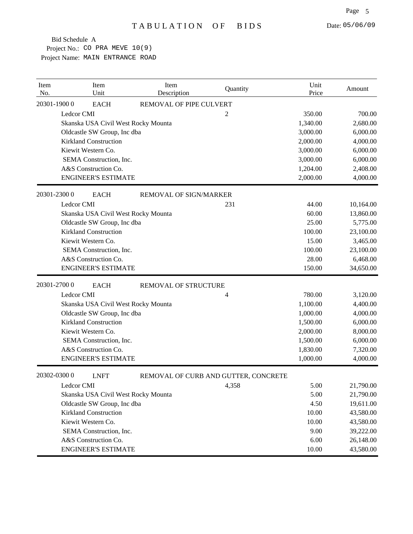| Item<br>No. | Item<br>Unit                        | Item<br>Description                  | Quantity | Unit<br>Price | Amount    |
|-------------|-------------------------------------|--------------------------------------|----------|---------------|-----------|
|             | 20301-19000<br><b>EACH</b>          | REMOVAL OF PIPE CULVERT              |          |               |           |
|             | Ledcor CMI                          |                                      | 2        | 350.00        | 700.00    |
|             | Skanska USA Civil West Rocky Mounta |                                      |          | 1,340.00      | 2,680.00  |
|             | Oldcastle SW Group, Inc dba         |                                      |          | 3,000.00      | 6,000.00  |
|             | <b>Kirkland Construction</b>        |                                      |          | 2,000.00      | 4,000.00  |
|             | Kiewit Western Co.                  |                                      |          | 3,000.00      | 6,000.00  |
|             | SEMA Construction, Inc.             |                                      |          | 3,000.00      | 6,000.00  |
|             | A&S Construction Co.                |                                      |          | 1,204.00      | 2,408.00  |
|             | <b>ENGINEER'S ESTIMATE</b>          |                                      |          | 2,000.00      | 4,000.00  |
|             | 20301-23000<br><b>EACH</b>          | REMOVAL OF SIGN/MARKER               |          |               |           |
|             | Ledcor CMI                          |                                      | 231      | 44.00         | 10,164.00 |
|             | Skanska USA Civil West Rocky Mounta |                                      |          | 60.00         | 13,860.00 |
|             | Oldcastle SW Group, Inc dba         |                                      |          | 25.00         | 5,775.00  |
|             | <b>Kirkland Construction</b>        |                                      |          | 100.00        | 23,100.00 |
|             | Kiewit Western Co.                  |                                      |          | 15.00         | 3,465.00  |
|             | SEMA Construction, Inc.             |                                      |          | 100.00        | 23,100.00 |
|             | A&S Construction Co.                |                                      |          | 28.00         | 6,468.00  |
|             | <b>ENGINEER'S ESTIMATE</b>          |                                      |          | 150.00        | 34,650.00 |
|             | 20301-27000<br><b>EACH</b>          | REMOVAL OF STRUCTURE                 |          |               |           |
|             | Ledcor CMI                          |                                      | 4        | 780.00        | 3,120.00  |
|             | Skanska USA Civil West Rocky Mounta |                                      |          | 1,100.00      | 4,400.00  |
|             | Oldcastle SW Group, Inc dba         |                                      |          | 1,000.00      | 4,000.00  |
|             | <b>Kirkland Construction</b>        |                                      |          | 1,500.00      | 6,000.00  |
|             | Kiewit Western Co.                  |                                      |          | 2,000.00      | 8,000.00  |
|             | SEMA Construction, Inc.             |                                      |          | 1,500.00      | 6,000.00  |
|             | A&S Construction Co.                |                                      |          | 1,830.00      | 7,320.00  |
|             | <b>ENGINEER'S ESTIMATE</b>          |                                      |          | 1,000.00      | 4,000.00  |
|             | 20302-03000<br><b>LNFT</b>          | REMOVAL OF CURB AND GUTTER, CONCRETE |          |               |           |
|             | Ledcor CMI                          |                                      | 4,358    | 5.00          | 21,790.00 |
|             | Skanska USA Civil West Rocky Mounta |                                      |          | 5.00          | 21,790.00 |
|             | Oldcastle SW Group, Inc dba         |                                      |          | 4.50          | 19,611.00 |
|             | <b>Kirkland Construction</b>        |                                      |          | 10.00         | 43,580.00 |
|             | Kiewit Western Co.                  |                                      |          | 10.00         | 43,580.00 |
|             | SEMA Construction, Inc.             |                                      |          | 9.00          | 39,222.00 |
|             | A&S Construction Co.                |                                      |          | 6.00          | 26,148.00 |
|             | <b>ENGINEER'S ESTIMATE</b>          |                                      |          | 10.00         | 43,580.00 |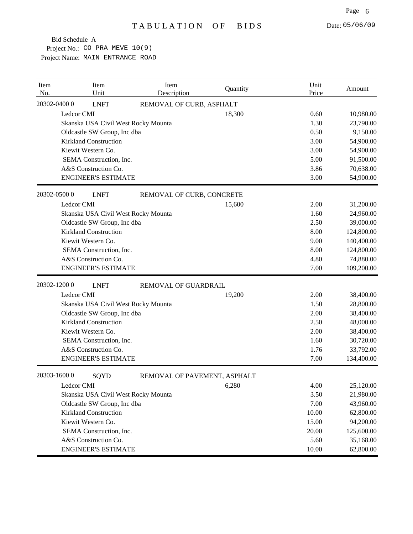| Item<br>No. | Item<br>Unit                 | Item<br>Description                 | Quantity | Unit<br>Price | Amount     |
|-------------|------------------------------|-------------------------------------|----------|---------------|------------|
|             | 20302-04000<br><b>LNFT</b>   | REMOVAL OF CURB, ASPHALT            |          |               |            |
|             | Ledcor CMI                   |                                     | 18,300   | 0.60          | 10,980.00  |
|             |                              | Skanska USA Civil West Rocky Mounta |          | 1.30          | 23,790.00  |
|             | Oldcastle SW Group, Inc dba  |                                     |          | 0.50          | 9,150.00   |
|             | <b>Kirkland Construction</b> |                                     |          | 3.00          | 54,900.00  |
|             | Kiewit Western Co.           |                                     |          | 3.00          | 54,900.00  |
|             | SEMA Construction, Inc.      |                                     |          | 5.00          | 91,500.00  |
|             | A&S Construction Co.         |                                     |          | 3.86          | 70,638.00  |
|             | <b>ENGINEER'S ESTIMATE</b>   |                                     |          | 3.00          | 54,900.00  |
|             | 20302-05000<br><b>LNFT</b>   | REMOVAL OF CURB, CONCRETE           |          |               |            |
|             | Ledcor CMI                   |                                     | 15,600   | 2.00          | 31,200.00  |
|             |                              | Skanska USA Civil West Rocky Mounta |          | 1.60          | 24,960.00  |
|             | Oldcastle SW Group, Inc dba  |                                     |          | 2.50          | 39,000.00  |
|             | <b>Kirkland Construction</b> |                                     |          | 8.00          | 124,800.00 |
|             | Kiewit Western Co.           |                                     |          | 9.00          | 140,400.00 |
|             | SEMA Construction, Inc.      |                                     |          | 8.00          | 124,800.00 |
|             | A&S Construction Co.         |                                     |          | 4.80          | 74,880.00  |
|             | <b>ENGINEER'S ESTIMATE</b>   |                                     |          | 7.00          | 109,200.00 |
|             | 20302-12000<br><b>LNFT</b>   | REMOVAL OF GUARDRAIL                |          |               |            |
|             | Ledcor CMI                   |                                     | 19,200   | 2.00          | 38,400.00  |
|             |                              | Skanska USA Civil West Rocky Mounta |          | 1.50          | 28,800.00  |
|             | Oldcastle SW Group, Inc dba  |                                     |          | 2.00          | 38,400.00  |
|             | <b>Kirkland Construction</b> |                                     |          | 2.50          | 48,000.00  |
|             | Kiewit Western Co.           |                                     |          | 2.00          | 38,400.00  |
|             | SEMA Construction, Inc.      |                                     |          | 1.60          | 30,720.00  |
|             | A&S Construction Co.         |                                     |          | 1.76          | 33,792.00  |
|             | <b>ENGINEER'S ESTIMATE</b>   |                                     |          | 7.00          | 134,400.00 |
|             | 20303-16000<br>SQYD          | REMOVAL OF PAVEMENT, ASPHALT        |          |               |            |
|             | Ledcor CMI                   |                                     | 6,280    | 4.00          | 25,120.00  |
|             |                              | Skanska USA Civil West Rocky Mounta |          | 3.50          | 21,980.00  |
|             | Oldcastle SW Group, Inc dba  |                                     |          | 7.00          | 43,960.00  |
|             | <b>Kirkland Construction</b> |                                     |          | 10.00         | 62,800.00  |
|             | Kiewit Western Co.           |                                     |          | 15.00         | 94,200.00  |
|             | SEMA Construction, Inc.      |                                     |          | 20.00         | 125,600.00 |
|             | A&S Construction Co.         |                                     |          | 5.60          | 35,168.00  |
|             | <b>ENGINEER'S ESTIMATE</b>   |                                     |          | 10.00         | 62,800.00  |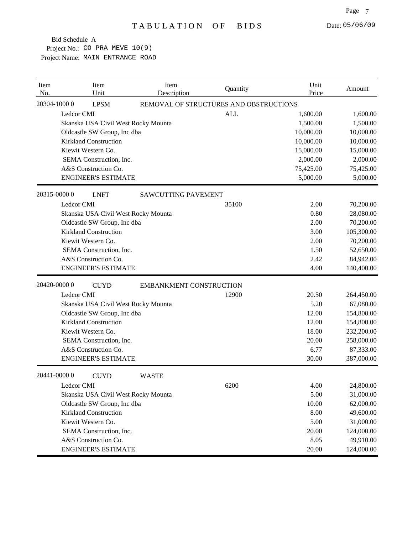| Item<br>No. |              | Item<br>Unit                 | Item<br>Description                 | Quantity                               | Unit<br>Price | Amount     |
|-------------|--------------|------------------------------|-------------------------------------|----------------------------------------|---------------|------------|
|             | 20304-10000  | <b>LPSM</b>                  |                                     | REMOVAL OF STRUCTURES AND OBSTRUCTIONS |               |            |
|             | Ledcor CMI   |                              |                                     | <b>ALL</b>                             | 1,600.00      | 1,600.00   |
|             |              |                              | Skanska USA Civil West Rocky Mounta |                                        | 1,500.00      | 1,500.00   |
|             |              | Oldcastle SW Group, Inc dba  |                                     |                                        | 10,000.00     | 10,000.00  |
|             |              | <b>Kirkland Construction</b> |                                     |                                        | 10,000.00     | 10,000.00  |
|             |              | Kiewit Western Co.           |                                     |                                        | 15,000.00     | 15,000.00  |
|             |              | SEMA Construction, Inc.      |                                     |                                        | 2,000.00      | 2,000.00   |
|             |              | A&S Construction Co.         |                                     |                                        | 75,425.00     | 75,425.00  |
|             |              | <b>ENGINEER'S ESTIMATE</b>   |                                     |                                        | 5,000.00      | 5,000.00   |
|             | 20315-00000  | <b>LNFT</b>                  | <b>SAWCUTTING PAVEMENT</b>          |                                        |               |            |
|             | Ledcor CMI   |                              |                                     | 35100                                  | 2.00          | 70,200.00  |
|             |              |                              | Skanska USA Civil West Rocky Mounta |                                        | 0.80          | 28,080.00  |
|             |              | Oldcastle SW Group, Inc dba  |                                     |                                        | 2.00          | 70,200.00  |
|             |              | <b>Kirkland Construction</b> |                                     |                                        | 3.00          | 105,300.00 |
|             |              | Kiewit Western Co.           |                                     |                                        | 2.00          | 70,200.00  |
|             |              | SEMA Construction, Inc.      |                                     |                                        | 1.50          | 52,650.00  |
|             |              | A&S Construction Co.         |                                     |                                        | 2.42          | 84,942.00  |
|             |              | <b>ENGINEER'S ESTIMATE</b>   |                                     |                                        | 4.00          | 140,400.00 |
|             | 20420-0000 0 | <b>CUYD</b>                  | <b>EMBANKMENT CONSTRUCTION</b>      |                                        |               |            |
|             | Ledcor CMI   |                              |                                     | 12900                                  | 20.50         | 264,450.00 |
|             |              |                              | Skanska USA Civil West Rocky Mounta |                                        | 5.20          | 67,080.00  |
|             |              | Oldcastle SW Group, Inc dba  |                                     |                                        | 12.00         | 154,800.00 |
|             |              | <b>Kirkland Construction</b> |                                     |                                        | 12.00         | 154,800.00 |
|             |              | Kiewit Western Co.           |                                     |                                        | 18.00         | 232,200.00 |
|             |              | SEMA Construction, Inc.      |                                     |                                        | 20.00         | 258,000.00 |
|             |              | A&S Construction Co.         |                                     |                                        | 6.77          | 87,333.00  |
|             |              | <b>ENGINEER'S ESTIMATE</b>   |                                     |                                        | 30.00         | 387,000.00 |
|             | 20441-0000 0 | <b>CUYD</b>                  | <b>WASTE</b>                        |                                        |               |            |
|             | Ledcor CMI   |                              |                                     | 6200                                   | 4.00          | 24,800.00  |
|             |              |                              | Skanska USA Civil West Rocky Mounta |                                        | 5.00          | 31,000.00  |
|             |              | Oldcastle SW Group, Inc dba  |                                     |                                        | 10.00         | 62,000.00  |
|             |              | <b>Kirkland Construction</b> |                                     |                                        | 8.00          | 49,600.00  |
|             |              | Kiewit Western Co.           |                                     |                                        | 5.00          | 31,000.00  |
|             |              | SEMA Construction, Inc.      |                                     |                                        | 20.00         | 124,000.00 |
|             |              | A&S Construction Co.         |                                     |                                        | 8.05          | 49,910.00  |
|             |              | <b>ENGINEER'S ESTIMATE</b>   |                                     |                                        | 20.00         | 124,000.00 |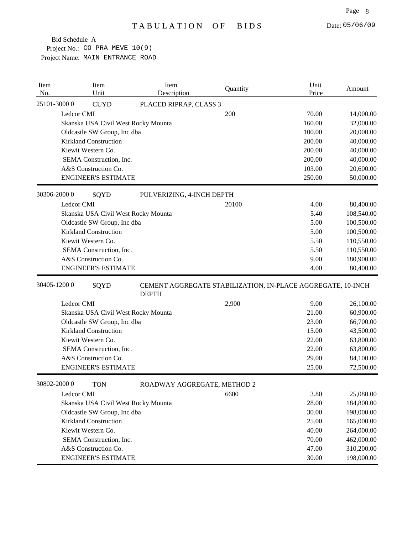| No.         | Item<br>Unit                                                       | Item<br>Description         | Quantity                                                    | Unit<br>Price  | Amount                   |
|-------------|--------------------------------------------------------------------|-----------------------------|-------------------------------------------------------------|----------------|--------------------------|
| 25101-30000 | <b>CUYD</b>                                                        | PLACED RIPRAP, CLASS 3      |                                                             |                |                          |
|             | Ledcor CMI                                                         |                             | 200                                                         | 70.00          | 14,000.00                |
|             | Skanska USA Civil West Rocky Mounta                                |                             |                                                             | 160.00         | 32,000.00                |
|             | Oldcastle SW Group, Inc dba                                        |                             |                                                             | 100.00         | 20,000.00                |
|             | <b>Kirkland Construction</b>                                       |                             |                                                             | 200.00         | 40,000.00                |
|             | Kiewit Western Co.                                                 |                             |                                                             | 200.00         | 40,000.00                |
|             | SEMA Construction, Inc.                                            |                             |                                                             | 200.00         | 40,000.00                |
|             | A&S Construction Co.                                               |                             |                                                             | 103.00         | 20,600.00                |
|             | <b>ENGINEER'S ESTIMATE</b>                                         |                             |                                                             | 250.00         | 50,000.00                |
| 30306-20000 | SQYD                                                               | PULVERIZING, 4-INCH DEPTH   |                                                             |                |                          |
|             | Ledcor CMI                                                         |                             | 20100                                                       | 4.00           | 80,400.00                |
|             | Skanska USA Civil West Rocky Mounta                                |                             |                                                             | 5.40           | 108,540.00               |
|             | Oldcastle SW Group, Inc dba                                        |                             |                                                             | 5.00           | 100,500.00               |
|             | <b>Kirkland Construction</b>                                       |                             |                                                             | 5.00           | 100,500.00               |
|             | Kiewit Western Co.                                                 |                             |                                                             | 5.50           | 110,550.00               |
|             | SEMA Construction, Inc.                                            |                             |                                                             | 5.50           | 110,550.00               |
|             | A&S Construction Co.                                               |                             |                                                             | 9.00           | 180,900.00               |
|             | <b>ENGINEER'S ESTIMATE</b>                                         |                             |                                                             | 4.00           | 80,400.00                |
|             |                                                                    |                             |                                                             |                |                          |
| 30405-12000 | SQYD                                                               |                             | CEMENT AGGREGATE STABILIZATION, IN-PLACE AGGREGATE, 10-INCH |                |                          |
|             |                                                                    | <b>DEPTH</b>                |                                                             |                |                          |
|             | Ledcor CMI                                                         |                             | 2,900                                                       | 9.00           | 26,100.00                |
|             | Skanska USA Civil West Rocky Mounta                                |                             |                                                             | 21.00          | 60,900.00                |
|             | Oldcastle SW Group, Inc dba                                        |                             |                                                             | 23.00          | 66,700.00                |
|             | <b>Kirkland Construction</b>                                       |                             |                                                             | 15.00          | 43,500.00                |
|             | Kiewit Western Co.                                                 |                             |                                                             | 22.00<br>22.00 | 63,800.00                |
|             | SEMA Construction, Inc.<br>A&S Construction Co.                    |                             |                                                             | 29.00          | 63,800.00                |
|             | <b>ENGINEER'S ESTIMATE</b>                                         |                             |                                                             | 25.00          | 84,100.00<br>72,500.00   |
| 30802-20000 | <b>TON</b>                                                         |                             |                                                             |                |                          |
|             | Ledcor CMI                                                         | ROADWAY AGGREGATE, METHOD 2 | 6600                                                        | 3.80           |                          |
|             |                                                                    |                             |                                                             | 28.00          | 25,080.00                |
|             | Skanska USA Civil West Rocky Mounta<br>Oldcastle SW Group, Inc dba |                             |                                                             | 30.00          | 184,800.00<br>198,000.00 |
|             | <b>Kirkland Construction</b>                                       |                             |                                                             | 25.00          | 165,000.00               |
|             | Kiewit Western Co.                                                 |                             |                                                             | 40.00          | 264,000.00               |
|             | SEMA Construction, Inc.                                            |                             |                                                             | 70.00          | 462,000.00               |
|             | A&S Construction Co.                                               |                             |                                                             | 47.00          | 310,200.00               |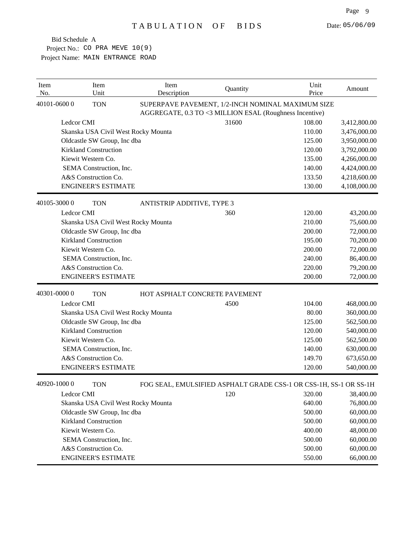| Item<br>No. |             | Item<br>Unit                 | Item<br>Description                 | Quantity                                                                                                     | Unit<br>Price | Amount       |
|-------------|-------------|------------------------------|-------------------------------------|--------------------------------------------------------------------------------------------------------------|---------------|--------------|
|             | 40101-06000 | <b>TON</b>                   |                                     | SUPERPAVE PAVEMENT, 1/2-INCH NOMINAL MAXIMUM SIZE<br>AGGREGATE, 0.3 TO <3 MILLION ESAL (Roughness Incentive) |               |              |
|             | Ledcor CMI  |                              |                                     | 31600                                                                                                        | 108.00        | 3,412,800.00 |
|             |             |                              | Skanska USA Civil West Rocky Mounta |                                                                                                              | 110.00        | 3,476,000.00 |
|             |             | Oldcastle SW Group, Inc dba  |                                     |                                                                                                              | 125.00        | 3,950,000.00 |
|             |             | <b>Kirkland Construction</b> |                                     |                                                                                                              | 120.00        | 3,792,000.00 |
|             |             | Kiewit Western Co.           |                                     |                                                                                                              | 135.00        | 4,266,000.00 |
|             |             | SEMA Construction, Inc.      |                                     |                                                                                                              | 140.00        | 4,424,000.00 |
|             |             | A&S Construction Co.         |                                     |                                                                                                              | 133.50        | 4,218,600.00 |
|             |             | <b>ENGINEER'S ESTIMATE</b>   |                                     |                                                                                                              | 130.00        | 4,108,000.00 |
|             | 40105-30000 | <b>TON</b>                   | ANTISTRIP ADDITIVE, TYPE 3          |                                                                                                              |               |              |
|             | Ledcor CMI  |                              |                                     | 360                                                                                                          | 120.00        | 43,200.00    |
|             |             |                              | Skanska USA Civil West Rocky Mounta |                                                                                                              | 210.00        | 75,600.00    |
|             |             | Oldcastle SW Group, Inc dba  |                                     |                                                                                                              | 200.00        | 72,000.00    |
|             |             | <b>Kirkland Construction</b> |                                     |                                                                                                              | 195.00        | 70,200.00    |
|             |             | Kiewit Western Co.           |                                     |                                                                                                              | 200.00        | 72,000.00    |
|             |             | SEMA Construction, Inc.      |                                     |                                                                                                              | 240.00        | 86,400.00    |
|             |             | A&S Construction Co.         |                                     |                                                                                                              | 220.00        | 79,200.00    |
|             |             | <b>ENGINEER'S ESTIMATE</b>   |                                     |                                                                                                              | 200.00        | 72,000.00    |
|             | 40301-00000 | <b>TON</b>                   |                                     | HOT ASPHALT CONCRETE PAVEMENT                                                                                |               |              |
|             | Ledcor CMI  |                              |                                     | 4500                                                                                                         | 104.00        | 468,000.00   |
|             |             |                              | Skanska USA Civil West Rocky Mounta |                                                                                                              | 80.00         | 360,000.00   |
|             |             | Oldcastle SW Group, Inc dba  |                                     |                                                                                                              | 125.00        | 562,500.00   |
|             |             | <b>Kirkland Construction</b> |                                     |                                                                                                              | 120.00        | 540,000.00   |
|             |             | Kiewit Western Co.           |                                     |                                                                                                              | 125.00        | 562,500.00   |
|             |             | SEMA Construction, Inc.      |                                     |                                                                                                              | 140.00        | 630,000.00   |
|             |             | A&S Construction Co.         |                                     |                                                                                                              | 149.70        | 673,650.00   |
|             |             | <b>ENGINEER'S ESTIMATE</b>   |                                     |                                                                                                              | 120.00        | 540,000.00   |
|             | 40920-10000 | <b>TON</b>                   |                                     | FOG SEAL, EMULSIFIED ASPHALT GRADE CSS-1 OR CSS-1H, SS-1 OR SS-1H                                            |               |              |
|             | Ledcor CMI  |                              |                                     | 120                                                                                                          | 320.00        | 38,400.00    |
|             |             |                              | Skanska USA Civil West Rocky Mounta |                                                                                                              | 640.00        | 76,800.00    |
|             |             | Oldcastle SW Group, Inc dba  |                                     |                                                                                                              | 500.00        | 60,000.00    |
|             |             | <b>Kirkland Construction</b> |                                     |                                                                                                              | 500.00        | 60,000.00    |
|             |             | Kiewit Western Co.           |                                     |                                                                                                              | 400.00        | 48,000.00    |
|             |             | SEMA Construction, Inc.      |                                     |                                                                                                              | 500.00        | 60,000.00    |
|             |             | A&S Construction Co.         |                                     |                                                                                                              | 500.00        | 60,000.00    |
|             |             | <b>ENGINEER'S ESTIMATE</b>   |                                     |                                                                                                              | 550.00        | 66,000.00    |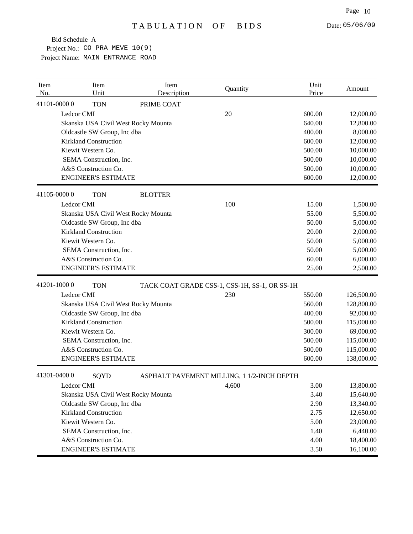| Item<br>No. | Item<br>Unit                        | Item<br>Description | Quantity                                      | Unit<br>Price | Amount     |
|-------------|-------------------------------------|---------------------|-----------------------------------------------|---------------|------------|
| 41101-00000 | <b>TON</b>                          | PRIME COAT          |                                               |               |            |
|             | Ledcor CMI                          |                     | 20                                            | 600.00        | 12,000.00  |
|             | Skanska USA Civil West Rocky Mounta |                     |                                               | 640.00        | 12,800.00  |
|             | Oldcastle SW Group, Inc dba         |                     |                                               | 400.00        | 8,000.00   |
|             | <b>Kirkland Construction</b>        |                     |                                               | 600.00        | 12,000.00  |
|             | Kiewit Western Co.                  |                     |                                               | 500.00        | 10,000.00  |
|             | SEMA Construction, Inc.             |                     |                                               | 500.00        | 10,000.00  |
|             | A&S Construction Co.                |                     |                                               | 500.00        | 10,000.00  |
|             | <b>ENGINEER'S ESTIMATE</b>          |                     |                                               | 600.00        | 12,000.00  |
| 41105-00000 | <b>TON</b>                          | <b>BLOTTER</b>      |                                               |               |            |
|             | Ledcor CMI                          |                     | 100                                           | 15.00         | 1,500.00   |
|             | Skanska USA Civil West Rocky Mounta |                     |                                               | 55.00         | 5,500.00   |
|             | Oldcastle SW Group, Inc dba         |                     |                                               | 50.00         | 5,000.00   |
|             | <b>Kirkland Construction</b>        |                     |                                               | 20.00         | 2,000.00   |
|             | Kiewit Western Co.                  |                     |                                               | 50.00         | 5,000.00   |
|             | SEMA Construction, Inc.             |                     |                                               | 50.00         | 5,000.00   |
|             | A&S Construction Co.                |                     |                                               | 60.00         | 6,000.00   |
|             | <b>ENGINEER'S ESTIMATE</b>          |                     |                                               | 25.00         | 2,500.00   |
| 41201-10000 | <b>TON</b>                          |                     | TACK COAT GRADE CSS-1, CSS-1H, SS-1, OR SS-1H |               |            |
|             | Ledcor CMI                          |                     | 230                                           | 550.00        | 126,500.00 |
|             | Skanska USA Civil West Rocky Mounta |                     |                                               | 560.00        | 128,800.00 |
|             | Oldcastle SW Group, Inc dba         |                     |                                               | 400.00        | 92,000.00  |
|             | <b>Kirkland Construction</b>        |                     |                                               | 500.00        | 115,000.00 |
|             | Kiewit Western Co.                  |                     |                                               | 300.00        | 69,000.00  |
|             | SEMA Construction, Inc.             |                     |                                               | 500.00        | 115,000.00 |
|             | A&S Construction Co.                |                     |                                               | 500.00        | 115,000.00 |
|             | <b>ENGINEER'S ESTIMATE</b>          |                     |                                               | 600.00        | 138,000.00 |
| 41301-04000 | SQYD                                |                     | ASPHALT PAVEMENT MILLING, 1 1/2-INCH DEPTH    |               |            |
|             | Ledcor CMI                          |                     | 4,600                                         | 3.00          | 13,800.00  |
|             | Skanska USA Civil West Rocky Mounta |                     |                                               | 3.40          | 15,640.00  |
|             | Oldcastle SW Group, Inc dba         |                     |                                               | 2.90          | 13,340.00  |
|             | <b>Kirkland Construction</b>        |                     |                                               | 2.75          | 12,650.00  |
|             | Kiewit Western Co.                  |                     |                                               | 5.00          | 23,000.00  |
|             | SEMA Construction, Inc.             |                     |                                               | 1.40          | 6,440.00   |
|             | A&S Construction Co.                |                     |                                               | 4.00          | 18,400.00  |
|             | <b>ENGINEER'S ESTIMATE</b>          |                     |                                               | 3.50          | 16,100.00  |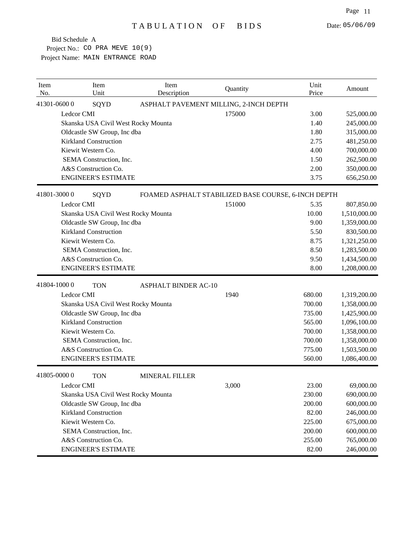| Item<br>No. |             | Item<br>Unit                 | Item<br>Description                 | Quantity                                            | Unit<br>Price | Amount       |
|-------------|-------------|------------------------------|-------------------------------------|-----------------------------------------------------|---------------|--------------|
|             | 41301-06000 | SQYD                         |                                     | ASPHALT PAVEMENT MILLING, 2-INCH DEPTH              |               |              |
|             | Ledcor CMI  |                              |                                     | 175000                                              | 3.00          | 525,000.00   |
|             |             |                              | Skanska USA Civil West Rocky Mounta |                                                     | 1.40          | 245,000.00   |
|             |             | Oldcastle SW Group, Inc dba  |                                     |                                                     | 1.80          | 315,000.00   |
|             |             | <b>Kirkland Construction</b> |                                     |                                                     | 2.75          | 481,250.00   |
|             |             | Kiewit Western Co.           |                                     |                                                     | 4.00          | 700,000.00   |
|             |             | SEMA Construction, Inc.      |                                     |                                                     | 1.50          | 262,500.00   |
|             |             | A&S Construction Co.         |                                     |                                                     | 2.00          | 350,000.00   |
|             |             | <b>ENGINEER'S ESTIMATE</b>   |                                     |                                                     | 3.75          | 656,250.00   |
|             | 41801-30000 | SQYD                         |                                     | FOAMED ASPHALT STABILIZED BASE COURSE, 6-INCH DEPTH |               |              |
|             | Ledcor CMI  |                              |                                     | 151000                                              | 5.35          | 807,850.00   |
|             |             |                              | Skanska USA Civil West Rocky Mounta |                                                     | 10.00         | 1,510,000.00 |
|             |             | Oldcastle SW Group, Inc dba  |                                     |                                                     | 9.00          | 1,359,000.00 |
|             |             | <b>Kirkland Construction</b> |                                     |                                                     | 5.50          | 830,500.00   |
|             |             | Kiewit Western Co.           |                                     |                                                     | 8.75          | 1,321,250.00 |
|             |             | SEMA Construction, Inc.      |                                     |                                                     | 8.50          | 1,283,500.00 |
|             |             | A&S Construction Co.         |                                     |                                                     | 9.50          | 1,434,500.00 |
|             |             | <b>ENGINEER'S ESTIMATE</b>   |                                     |                                                     | 8.00          | 1,208,000.00 |
|             | 41804-10000 | <b>TON</b>                   | <b>ASPHALT BINDER AC-10</b>         |                                                     |               |              |
|             | Ledcor CMI  |                              |                                     | 1940                                                | 680.00        | 1,319,200.00 |
|             |             |                              | Skanska USA Civil West Rocky Mounta |                                                     | 700.00        | 1,358,000.00 |
|             |             | Oldcastle SW Group, Inc dba  |                                     |                                                     | 735.00        | 1,425,900.00 |
|             |             | <b>Kirkland Construction</b> |                                     |                                                     | 565.00        | 1,096,100.00 |
|             |             | Kiewit Western Co.           |                                     |                                                     | 700.00        | 1,358,000.00 |
|             |             | SEMA Construction, Inc.      |                                     |                                                     | 700.00        | 1,358,000.00 |
|             |             | A&S Construction Co.         |                                     |                                                     | 775.00        | 1,503,500.00 |
|             |             | <b>ENGINEER'S ESTIMATE</b>   |                                     |                                                     | 560.00        | 1,086,400.00 |
|             | 41805-00000 | <b>TON</b>                   | <b>MINERAL FILLER</b>               |                                                     |               |              |
|             | Ledcor CMI  |                              |                                     | 3,000                                               | 23.00         | 69,000.00    |
|             |             |                              | Skanska USA Civil West Rocky Mounta |                                                     | 230.00        | 690,000.00   |
|             |             | Oldcastle SW Group, Inc dba  |                                     |                                                     | 200.00        | 600,000.00   |
|             |             | <b>Kirkland Construction</b> |                                     |                                                     | 82.00         | 246,000.00   |
|             |             | Kiewit Western Co.           |                                     |                                                     | 225.00        | 675,000.00   |
|             |             | SEMA Construction, Inc.      |                                     |                                                     | 200.00        | 600,000.00   |
|             |             | A&S Construction Co.         |                                     |                                                     | 255.00        | 765,000.00   |
|             |             | <b>ENGINEER'S ESTIMATE</b>   |                                     |                                                     | 82.00         | 246,000.00   |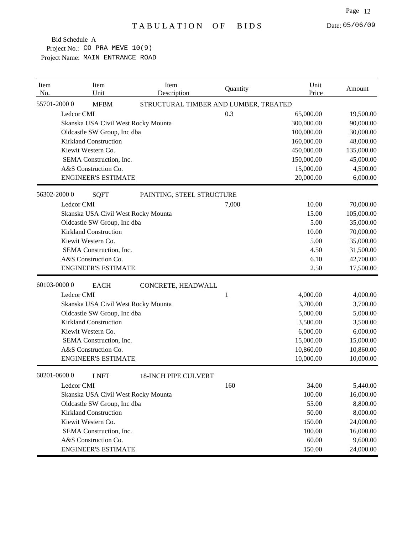| Item<br>No. | Item<br>Unit                        | Item<br>Description         | Quantity                              | Unit<br>Price | Amount     |
|-------------|-------------------------------------|-----------------------------|---------------------------------------|---------------|------------|
|             | 55701-20000<br><b>MFBM</b>          |                             | STRUCTURAL TIMBER AND LUMBER, TREATED |               |            |
|             | Ledcor CMI                          |                             | 0.3                                   | 65,000.00     | 19,500.00  |
|             | Skanska USA Civil West Rocky Mounta |                             |                                       | 300,000.00    | 90,000.00  |
|             | Oldcastle SW Group, Inc dba         |                             |                                       | 100,000.00    | 30,000.00  |
|             | <b>Kirkland Construction</b>        |                             |                                       | 160,000.00    | 48,000.00  |
|             | Kiewit Western Co.                  |                             |                                       | 450,000.00    | 135,000.00 |
|             | SEMA Construction, Inc.             |                             |                                       | 150,000.00    | 45,000.00  |
|             | A&S Construction Co.                |                             |                                       | 15,000.00     | 4,500.00   |
|             | <b>ENGINEER'S ESTIMATE</b>          |                             |                                       | 20,000.00     | 6,000.00   |
|             | 56302-20000<br><b>SQFT</b>          | PAINTING, STEEL STRUCTURE   |                                       |               |            |
|             | Ledcor CMI                          |                             | 7,000                                 | 10.00         | 70,000.00  |
|             | Skanska USA Civil West Rocky Mounta |                             |                                       | 15.00         | 105,000.00 |
|             | Oldcastle SW Group, Inc dba         |                             |                                       | 5.00          | 35,000.00  |
|             | <b>Kirkland Construction</b>        |                             |                                       | 10.00         | 70,000.00  |
|             | Kiewit Western Co.                  |                             |                                       | 5.00          | 35,000.00  |
|             | SEMA Construction, Inc.             |                             |                                       | 4.50          | 31,500.00  |
|             | A&S Construction Co.                |                             |                                       | 6.10          | 42,700.00  |
|             | <b>ENGINEER'S ESTIMATE</b>          |                             |                                       | 2.50          | 17,500.00  |
|             | 60103-00000<br><b>EACH</b>          | CONCRETE, HEADWALL          |                                       |               |            |
|             | Ledcor CMI                          |                             | 1                                     | 4,000.00      | 4,000.00   |
|             | Skanska USA Civil West Rocky Mounta |                             |                                       | 3,700.00      | 3,700.00   |
|             | Oldcastle SW Group, Inc dba         |                             |                                       | 5,000.00      | 5,000.00   |
|             | <b>Kirkland Construction</b>        |                             |                                       | 3,500.00      | 3,500.00   |
|             | Kiewit Western Co.                  |                             |                                       | 6,000.00      | 6,000.00   |
|             | SEMA Construction, Inc.             |                             |                                       | 15,000.00     | 15,000.00  |
|             | A&S Construction Co.                |                             |                                       | 10,860.00     | 10,860.00  |
|             | <b>ENGINEER'S ESTIMATE</b>          |                             |                                       | 10,000.00     | 10,000.00  |
|             | 60201-06000<br><b>LNFT</b>          | <b>18-INCH PIPE CULVERT</b> |                                       |               |            |
|             | Ledcor CMI                          |                             | 160                                   | 34.00         | 5,440.00   |
|             | Skanska USA Civil West Rocky Mounta |                             |                                       | 100.00        | 16,000.00  |
|             | Oldcastle SW Group, Inc dba         |                             |                                       | 55.00         | 8,800.00   |
|             | <b>Kirkland Construction</b>        |                             |                                       | 50.00         | 8,000.00   |
|             | Kiewit Western Co.                  |                             |                                       | 150.00        | 24,000.00  |
|             | SEMA Construction, Inc.             |                             |                                       | 100.00        | 16,000.00  |
|             | A&S Construction Co.                |                             |                                       | 60.00         | 9,600.00   |
|             | <b>ENGINEER'S ESTIMATE</b>          |                             |                                       | 150.00        | 24,000.00  |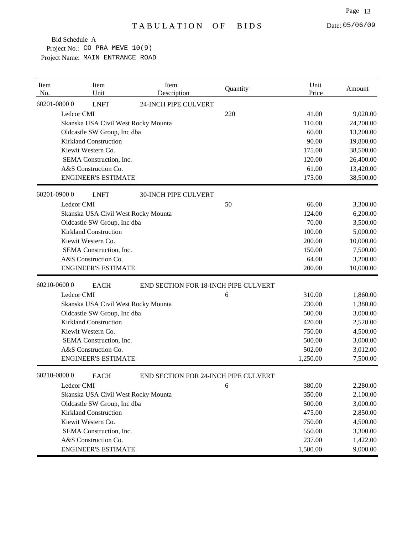| Item<br>No. | Item<br>Unit                        | Item<br>Description                  | Quantity | Unit<br>Price | Amount    |
|-------------|-------------------------------------|--------------------------------------|----------|---------------|-----------|
|             | 60201-08000<br><b>LNFT</b>          | 24-INCH PIPE CULVERT                 |          |               |           |
|             | Ledcor CMI                          |                                      | 220      | 41.00         | 9,020.00  |
|             | Skanska USA Civil West Rocky Mounta |                                      |          | 110.00        | 24,200.00 |
|             | Oldcastle SW Group, Inc dba         |                                      |          | 60.00         | 13,200.00 |
|             | <b>Kirkland Construction</b>        |                                      |          | 90.00         | 19,800.00 |
|             | Kiewit Western Co.                  |                                      |          | 175.00        | 38,500.00 |
|             | SEMA Construction, Inc.             |                                      |          | 120.00        | 26,400.00 |
|             | A&S Construction Co.                |                                      |          | 61.00         | 13,420.00 |
|             | <b>ENGINEER'S ESTIMATE</b>          |                                      |          | 175.00        | 38,500.00 |
|             | 60201-09000<br><b>LNFT</b>          | <b>30-INCH PIPE CULVERT</b>          |          |               |           |
|             | Ledcor CMI                          |                                      | 50       | 66.00         | 3,300.00  |
|             | Skanska USA Civil West Rocky Mounta |                                      |          | 124.00        | 6,200.00  |
|             | Oldcastle SW Group, Inc dba         |                                      |          | 70.00         | 3,500.00  |
|             | <b>Kirkland Construction</b>        |                                      |          | 100.00        | 5,000.00  |
|             | Kiewit Western Co.                  |                                      |          | 200.00        | 10,000.00 |
|             | SEMA Construction, Inc.             |                                      |          | 150.00        | 7,500.00  |
|             | A&S Construction Co.                |                                      |          | 64.00         | 3,200.00  |
|             | <b>ENGINEER'S ESTIMATE</b>          |                                      |          | 200.00        | 10,000.00 |
|             | 60210-06000<br><b>EACH</b>          | END SECTION FOR 18-INCH PIPE CULVERT |          |               |           |
|             | Ledcor CMI                          |                                      | 6        | 310.00        | 1,860.00  |
|             | Skanska USA Civil West Rocky Mounta |                                      |          | 230.00        | 1,380.00  |
|             | Oldcastle SW Group, Inc dba         |                                      |          | 500.00        | 3,000.00  |
|             | <b>Kirkland Construction</b>        |                                      |          | 420.00        | 2,520.00  |
|             | Kiewit Western Co.                  |                                      |          | 750.00        | 4,500.00  |
|             | SEMA Construction, Inc.             |                                      |          | 500.00        | 3,000.00  |
|             | A&S Construction Co.                |                                      |          | 502.00        | 3,012.00  |
|             | <b>ENGINEER'S ESTIMATE</b>          |                                      |          | 1,250.00      | 7,500.00  |
|             | 60210-08000<br><b>EACH</b>          | END SECTION FOR 24-INCH PIPE CULVERT |          |               |           |
|             | Ledcor CMI                          |                                      | 6        | 380.00        | 2,280.00  |
|             | Skanska USA Civil West Rocky Mounta |                                      |          | 350.00        | 2,100.00  |
|             | Oldcastle SW Group, Inc dba         |                                      |          | 500.00        | 3,000.00  |
|             | <b>Kirkland Construction</b>        |                                      |          | 475.00        | 2,850.00  |
|             | Kiewit Western Co.                  |                                      |          | 750.00        | 4,500.00  |
|             | SEMA Construction, Inc.             |                                      |          | 550.00        | 3,300.00  |
|             | A&S Construction Co.                |                                      |          | 237.00        | 1,422.00  |
|             | <b>ENGINEER'S ESTIMATE</b>          |                                      |          | 1,500.00      | 9,000.00  |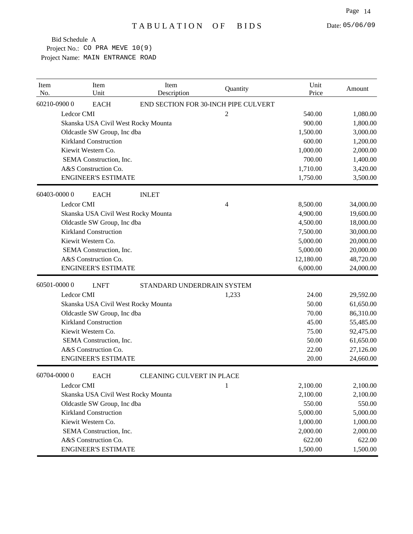| Item<br>No. | Item<br>Unit                        | Item<br>Description              | Quantity                             | Unit<br>Price | Amount    |
|-------------|-------------------------------------|----------------------------------|--------------------------------------|---------------|-----------|
|             | 60210-09000<br><b>EACH</b>          |                                  | END SECTION FOR 30-INCH PIPE CULVERT |               |           |
|             | Ledcor CMI                          |                                  | $\overline{c}$                       | 540.00        | 1,080.00  |
|             | Skanska USA Civil West Rocky Mounta |                                  |                                      | 900.00        | 1,800.00  |
|             | Oldcastle SW Group, Inc dba         |                                  |                                      | 1,500.00      | 3,000.00  |
|             | <b>Kirkland Construction</b>        |                                  |                                      | 600.00        | 1,200.00  |
|             | Kiewit Western Co.                  |                                  |                                      | 1,000.00      | 2,000.00  |
|             | SEMA Construction, Inc.             |                                  |                                      | 700.00        | 1,400.00  |
|             | A&S Construction Co.                |                                  |                                      | 1,710.00      | 3,420.00  |
|             | <b>ENGINEER'S ESTIMATE</b>          |                                  |                                      | 1,750.00      | 3,500.00  |
|             | 60403-00000<br><b>EACH</b>          | <b>INLET</b>                     |                                      |               |           |
|             | Ledcor CMI                          |                                  | 4                                    | 8,500.00      | 34,000.00 |
|             | Skanska USA Civil West Rocky Mounta |                                  |                                      | 4,900.00      | 19,600.00 |
|             | Oldcastle SW Group, Inc dba         |                                  |                                      | 4,500.00      | 18,000.00 |
|             | <b>Kirkland Construction</b>        |                                  |                                      | 7,500.00      | 30,000.00 |
|             | Kiewit Western Co.                  |                                  |                                      | 5,000.00      | 20,000.00 |
|             | SEMA Construction, Inc.             |                                  |                                      | 5,000.00      | 20,000.00 |
|             | A&S Construction Co.                |                                  |                                      | 12,180.00     | 48,720.00 |
|             | <b>ENGINEER'S ESTIMATE</b>          |                                  |                                      | 6,000.00      | 24,000.00 |
|             | 60501-00000<br><b>LNFT</b>          | STANDARD UNDERDRAIN SYSTEM       |                                      |               |           |
|             | Ledcor CMI                          |                                  | 1,233                                | 24.00         | 29,592.00 |
|             | Skanska USA Civil West Rocky Mounta |                                  |                                      | 50.00         | 61,650.00 |
|             | Oldcastle SW Group, Inc dba         |                                  |                                      | 70.00         | 86,310.00 |
|             | <b>Kirkland Construction</b>        |                                  |                                      | 45.00         | 55,485.00 |
|             | Kiewit Western Co.                  |                                  |                                      | 75.00         | 92,475.00 |
|             | SEMA Construction, Inc.             |                                  |                                      | 50.00         | 61,650.00 |
|             | A&S Construction Co.                |                                  |                                      | 22.00         | 27,126.00 |
|             | <b>ENGINEER'S ESTIMATE</b>          |                                  |                                      | 20.00         | 24,660.00 |
|             | 60704-00000<br><b>EACH</b>          | <b>CLEANING CULVERT IN PLACE</b> |                                      |               |           |
|             | Ledcor CMI                          |                                  | 1                                    | 2,100.00      | 2,100.00  |
|             | Skanska USA Civil West Rocky Mounta |                                  |                                      | 2,100.00      | 2,100.00  |
|             | Oldcastle SW Group, Inc dba         |                                  |                                      | 550.00        | 550.00    |
|             | <b>Kirkland Construction</b>        |                                  |                                      | 5,000.00      | 5,000.00  |
|             | Kiewit Western Co.                  |                                  |                                      | 1,000.00      | 1,000.00  |
|             | SEMA Construction, Inc.             |                                  |                                      | 2,000.00      | 2,000.00  |
|             | A&S Construction Co.                |                                  |                                      | 622.00        | 622.00    |
|             | <b>ENGINEER'S ESTIMATE</b>          |                                  |                                      | 1,500.00      | 1,500.00  |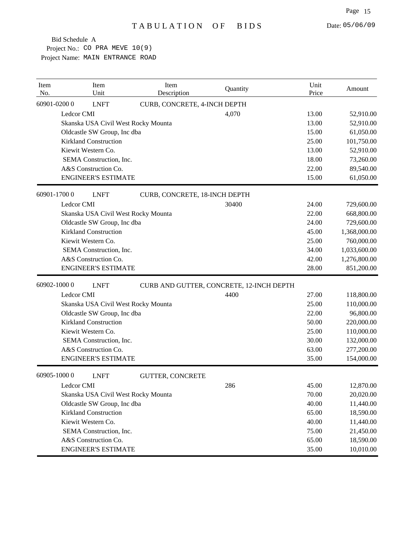| Item<br>No. |                              | Item<br>Unit                | Item<br>Description                 | Quantity                                 | Unit<br>Price | Amount       |
|-------------|------------------------------|-----------------------------|-------------------------------------|------------------------------------------|---------------|--------------|
| 60901-02000 |                              | <b>LNFT</b>                 | CURB, CONCRETE, 4-INCH DEPTH        |                                          |               |              |
|             | Ledcor CMI                   |                             |                                     | 4,070                                    | 13.00         | 52,910.00    |
|             |                              |                             | Skanska USA Civil West Rocky Mounta |                                          | 13.00         | 52,910.00    |
|             |                              | Oldcastle SW Group, Inc dba |                                     |                                          | 15.00         | 61,050.00    |
|             | <b>Kirkland Construction</b> |                             |                                     |                                          | 25.00         | 101,750.00   |
|             | Kiewit Western Co.           |                             |                                     |                                          | 13.00         | 52,910.00    |
|             |                              | SEMA Construction, Inc.     |                                     |                                          | 18.00         | 73,260.00    |
|             | A&S Construction Co.         |                             |                                     |                                          | 22.00         | 89,540.00    |
|             |                              | <b>ENGINEER'S ESTIMATE</b>  |                                     |                                          | 15.00         | 61,050.00    |
| 60901-17000 |                              | <b>LNFT</b>                 | CURB, CONCRETE, 18-INCH DEPTH       |                                          |               |              |
|             | Ledcor CMI                   |                             |                                     | 30400                                    | 24.00         | 729,600.00   |
|             |                              |                             | Skanska USA Civil West Rocky Mounta |                                          | 22.00         | 668,800.00   |
|             |                              | Oldcastle SW Group, Inc dba |                                     |                                          | 24.00         | 729,600.00   |
|             | <b>Kirkland Construction</b> |                             |                                     |                                          | 45.00         | 1,368,000.00 |
|             | Kiewit Western Co.           |                             |                                     |                                          | 25.00         | 760,000.00   |
|             |                              | SEMA Construction, Inc.     |                                     |                                          | 34.00         | 1,033,600.00 |
|             | A&S Construction Co.         |                             |                                     |                                          | 42.00         | 1,276,800.00 |
|             |                              | <b>ENGINEER'S ESTIMATE</b>  |                                     |                                          | 28.00         | 851,200.00   |
| 60902-10000 |                              | <b>LNFT</b>                 |                                     | CURB AND GUTTER, CONCRETE, 12-INCH DEPTH |               |              |
|             | Ledcor CMI                   |                             |                                     | 4400                                     | 27.00         | 118,800.00   |
|             |                              |                             | Skanska USA Civil West Rocky Mounta |                                          | 25.00         | 110,000.00   |
|             |                              | Oldcastle SW Group, Inc dba |                                     |                                          | 22.00         | 96,800.00    |
|             | <b>Kirkland Construction</b> |                             |                                     |                                          | 50.00         | 220,000.00   |
|             | Kiewit Western Co.           |                             |                                     |                                          | 25.00         | 110,000.00   |
|             |                              | SEMA Construction, Inc.     |                                     |                                          | 30.00         | 132,000.00   |
|             | A&S Construction Co.         |                             |                                     |                                          | 63.00         | 277,200.00   |
|             |                              | <b>ENGINEER'S ESTIMATE</b>  |                                     |                                          | 35.00         | 154,000.00   |
| 60905-10000 |                              | <b>LNFT</b>                 | <b>GUTTER, CONCRETE</b>             |                                          |               |              |
|             | Ledcor CMI                   |                             |                                     | 286                                      | 45.00         | 12,870.00    |
|             |                              |                             | Skanska USA Civil West Rocky Mounta |                                          | 70.00         | 20,020.00    |
|             |                              | Oldcastle SW Group, Inc dba |                                     |                                          | 40.00         | 11,440.00    |
|             | <b>Kirkland Construction</b> |                             |                                     |                                          | 65.00         | 18,590.00    |
|             | Kiewit Western Co.           |                             |                                     |                                          | 40.00         | 11,440.00    |
|             |                              | SEMA Construction, Inc.     |                                     |                                          | 75.00         | 21,450.00    |
|             | A&S Construction Co.         |                             |                                     |                                          | 65.00         | 18,590.00    |
|             |                              | <b>ENGINEER'S ESTIMATE</b>  |                                     |                                          | 35.00         | 10,010.00    |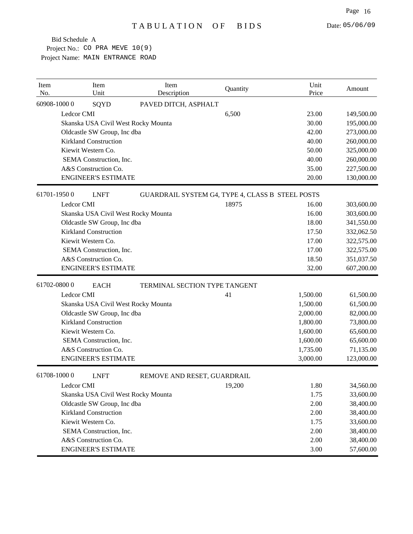| Item<br>No. | Item<br>Unit                        | Item<br>Description           | Quantity                                         | Unit<br>Price | Amount     |
|-------------|-------------------------------------|-------------------------------|--------------------------------------------------|---------------|------------|
| 60908-10000 | SQYD                                | PAVED DITCH, ASPHALT          |                                                  |               |            |
|             | Ledcor CMI                          |                               | 6,500                                            | 23.00         | 149,500.00 |
|             | Skanska USA Civil West Rocky Mounta |                               |                                                  | 30.00         | 195,000.00 |
|             | Oldcastle SW Group, Inc dba         |                               |                                                  | 42.00         | 273,000.00 |
|             | <b>Kirkland Construction</b>        |                               |                                                  | 40.00         | 260,000.00 |
|             | Kiewit Western Co.                  |                               |                                                  | 50.00         | 325,000.00 |
|             | SEMA Construction, Inc.             |                               |                                                  | 40.00         | 260,000.00 |
|             | A&S Construction Co.                |                               |                                                  | 35.00         | 227,500.00 |
|             | <b>ENGINEER'S ESTIMATE</b>          |                               |                                                  | 20.00         | 130,000.00 |
| 61701-19500 | <b>LNFT</b>                         |                               | GUARDRAIL SYSTEM G4, TYPE 4, CLASS B STEEL POSTS |               |            |
|             | Ledcor CMI                          |                               | 18975                                            | 16.00         | 303,600.00 |
|             | Skanska USA Civil West Rocky Mounta |                               |                                                  | 16.00         | 303,600.00 |
|             | Oldcastle SW Group, Inc dba         |                               |                                                  | 18.00         | 341,550.00 |
|             | <b>Kirkland Construction</b>        |                               |                                                  | 17.50         | 332,062.50 |
|             | Kiewit Western Co.                  |                               |                                                  | 17.00         | 322,575.00 |
|             | SEMA Construction, Inc.             |                               |                                                  | 17.00         | 322,575.00 |
|             | A&S Construction Co.                |                               |                                                  | 18.50         | 351,037.50 |
|             | <b>ENGINEER'S ESTIMATE</b>          |                               |                                                  | 32.00         | 607,200.00 |
| 61702-08000 | <b>EACH</b>                         | TERMINAL SECTION TYPE TANGENT |                                                  |               |            |
|             | Ledcor CMI                          |                               | 41                                               | 1,500.00      | 61,500.00  |
|             | Skanska USA Civil West Rocky Mounta |                               |                                                  | 1,500.00      | 61,500.00  |
|             | Oldcastle SW Group, Inc dba         |                               |                                                  | 2,000.00      | 82,000.00  |
|             | <b>Kirkland Construction</b>        |                               |                                                  | 1,800.00      | 73,800.00  |
|             | Kiewit Western Co.                  |                               |                                                  | 1,600.00      | 65,600.00  |
|             | SEMA Construction, Inc.             |                               |                                                  | 1,600.00      | 65,600.00  |
|             | A&S Construction Co.                |                               |                                                  | 1,735.00      | 71,135.00  |
|             | <b>ENGINEER'S ESTIMATE</b>          |                               |                                                  | 3,000.00      | 123,000.00 |
| 61708-10000 | <b>LNFT</b>                         | REMOVE AND RESET, GUARDRAIL   |                                                  |               |            |
|             | Ledcor CMI                          |                               | 19,200                                           | 1.80          | 34,560.00  |
|             | Skanska USA Civil West Rocky Mounta |                               |                                                  | 1.75          | 33,600.00  |
|             | Oldcastle SW Group, Inc dba         |                               |                                                  | 2.00          | 38,400.00  |
|             | <b>Kirkland Construction</b>        |                               |                                                  | 2.00          | 38,400.00  |
|             | Kiewit Western Co.                  |                               |                                                  | 1.75          | 33,600.00  |
|             | SEMA Construction, Inc.             |                               |                                                  | 2.00          | 38,400.00  |
|             | A&S Construction Co.                |                               |                                                  | 2.00          | 38,400.00  |
|             | <b>ENGINEER'S ESTIMATE</b>          |                               |                                                  | 3.00          | 57,600.00  |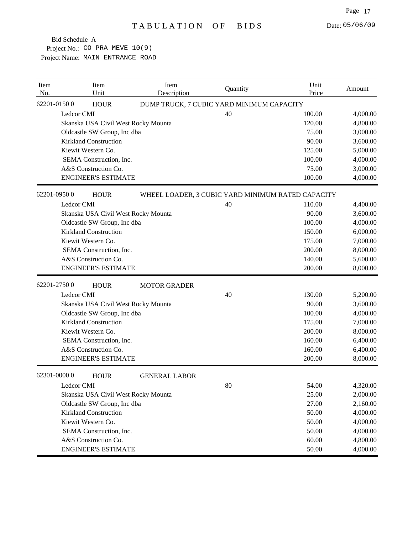| Item<br>No. |             | Item<br>Unit                 | Item<br>Description                 | Quantity                                          | Unit<br>Price | Amount   |
|-------------|-------------|------------------------------|-------------------------------------|---------------------------------------------------|---------------|----------|
|             | 62201-01500 | <b>HOUR</b>                  |                                     | DUMP TRUCK, 7 CUBIC YARD MINIMUM CAPACITY         |               |          |
|             | Ledcor CMI  |                              |                                     | 40                                                | 100.00        | 4,000.00 |
|             |             |                              | Skanska USA Civil West Rocky Mounta |                                                   | 120.00        | 4,800.00 |
|             |             | Oldcastle SW Group, Inc dba  |                                     |                                                   | 75.00         | 3,000.00 |
|             |             | <b>Kirkland Construction</b> |                                     |                                                   | 90.00         | 3,600.00 |
|             |             | Kiewit Western Co.           |                                     |                                                   | 125.00        | 5,000.00 |
|             |             | SEMA Construction, Inc.      |                                     |                                                   | 100.00        | 4,000.00 |
|             |             | A&S Construction Co.         |                                     |                                                   | 75.00         | 3,000.00 |
|             |             | <b>ENGINEER'S ESTIMATE</b>   |                                     |                                                   | 100.00        | 4,000.00 |
|             | 62201-09500 | <b>HOUR</b>                  |                                     | WHEEL LOADER, 3 CUBIC YARD MINIMUM RATED CAPACITY |               |          |
|             | Ledcor CMI  |                              |                                     | 40                                                | 110.00        | 4,400.00 |
|             |             |                              | Skanska USA Civil West Rocky Mounta |                                                   | 90.00         | 3,600.00 |
|             |             | Oldcastle SW Group, Inc dba  |                                     |                                                   | 100.00        | 4,000.00 |
|             |             | <b>Kirkland Construction</b> |                                     |                                                   | 150.00        | 6,000.00 |
|             |             | Kiewit Western Co.           |                                     |                                                   | 175.00        | 7,000.00 |
|             |             | SEMA Construction, Inc.      |                                     |                                                   | 200.00        | 8,000.00 |
|             |             | A&S Construction Co.         |                                     |                                                   | 140.00        | 5,600.00 |
|             |             | <b>ENGINEER'S ESTIMATE</b>   |                                     |                                                   | 200.00        | 8,000.00 |
|             | 62201-27500 | <b>HOUR</b>                  | <b>MOTOR GRADER</b>                 |                                                   |               |          |
|             | Ledcor CMI  |                              |                                     | 40                                                | 130.00        | 5,200.00 |
|             |             |                              | Skanska USA Civil West Rocky Mounta |                                                   | 90.00         | 3,600.00 |
|             |             | Oldcastle SW Group, Inc dba  |                                     |                                                   | 100.00        | 4,000.00 |
|             |             | <b>Kirkland Construction</b> |                                     |                                                   | 175.00        | 7,000.00 |
|             |             | Kiewit Western Co.           |                                     |                                                   | 200.00        | 8,000.00 |
|             |             | SEMA Construction, Inc.      |                                     |                                                   | 160.00        | 6,400.00 |
|             |             | A&S Construction Co.         |                                     |                                                   | 160.00        | 6,400.00 |
|             |             | <b>ENGINEER'S ESTIMATE</b>   |                                     |                                                   | 200.00        | 8,000.00 |
|             | 62301-00000 | <b>HOUR</b>                  | <b>GENERAL LABOR</b>                |                                                   |               |          |
|             | Ledcor CMI  |                              |                                     | $80\,$                                            | 54.00         | 4,320.00 |
|             |             |                              | Skanska USA Civil West Rocky Mounta |                                                   | 25.00         | 2,000.00 |
|             |             | Oldcastle SW Group, Inc dba  |                                     |                                                   | 27.00         | 2,160.00 |
|             |             | <b>Kirkland Construction</b> |                                     |                                                   | 50.00         | 4,000.00 |
|             |             | Kiewit Western Co.           |                                     |                                                   | 50.00         | 4,000.00 |
|             |             | SEMA Construction, Inc.      |                                     |                                                   | 50.00         | 4,000.00 |
|             |             | A&S Construction Co.         |                                     |                                                   | 60.00         | 4,800.00 |
|             |             | <b>ENGINEER'S ESTIMATE</b>   |                                     |                                                   | 50.00         | 4,000.00 |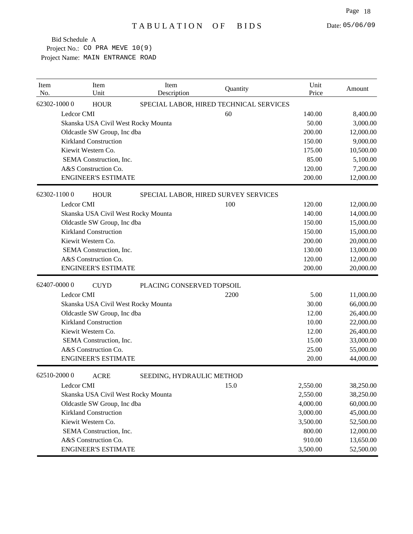| Item<br>No. | Item<br>Unit                        | Item<br>Description                     | Quantity | Unit<br>Price | Amount    |
|-------------|-------------------------------------|-----------------------------------------|----------|---------------|-----------|
|             | 62302-10000<br><b>HOUR</b>          | SPECIAL LABOR, HIRED TECHNICAL SERVICES |          |               |           |
|             | Ledcor CMI                          |                                         | 60       | 140.00        | 8,400.00  |
|             | Skanska USA Civil West Rocky Mounta |                                         |          | 50.00         | 3,000.00  |
|             | Oldcastle SW Group, Inc dba         |                                         |          | 200.00        | 12,000.00 |
|             | <b>Kirkland Construction</b>        |                                         |          | 150.00        | 9,000.00  |
|             | Kiewit Western Co.                  |                                         |          | 175.00        | 10,500.00 |
|             | SEMA Construction, Inc.             |                                         |          | 85.00         | 5,100.00  |
|             | A&S Construction Co.                |                                         |          | 120.00        | 7,200.00  |
|             | <b>ENGINEER'S ESTIMATE</b>          |                                         |          | 200.00        | 12,000.00 |
|             | 62302-11000<br><b>HOUR</b>          | SPECIAL LABOR, HIRED SURVEY SERVICES    |          |               |           |
|             | Ledcor CMI                          |                                         | 100      | 120.00        | 12,000.00 |
|             | Skanska USA Civil West Rocky Mounta |                                         |          | 140.00        | 14,000.00 |
|             | Oldcastle SW Group, Inc dba         |                                         |          | 150.00        | 15,000.00 |
|             | <b>Kirkland Construction</b>        |                                         |          | 150.00        | 15,000.00 |
|             | Kiewit Western Co.                  |                                         |          | 200.00        | 20,000.00 |
|             | SEMA Construction, Inc.             |                                         |          | 130.00        | 13,000.00 |
|             | A&S Construction Co.                |                                         |          | 120.00        | 12,000.00 |
|             | <b>ENGINEER'S ESTIMATE</b>          |                                         |          | 200.00        | 20,000.00 |
|             | 62407-00000<br><b>CUYD</b>          | PLACING CONSERVED TOPSOIL               |          |               |           |
|             | Ledcor CMI                          |                                         | 2200     | 5.00          | 11,000.00 |
|             | Skanska USA Civil West Rocky Mounta |                                         |          | 30.00         | 66,000.00 |
|             | Oldcastle SW Group, Inc dba         |                                         |          | 12.00         | 26,400.00 |
|             | <b>Kirkland Construction</b>        |                                         |          | 10.00         | 22,000.00 |
|             | Kiewit Western Co.                  |                                         |          | 12.00         | 26,400.00 |
|             | SEMA Construction, Inc.             |                                         |          | 15.00         | 33,000.00 |
|             | A&S Construction Co.                |                                         |          | 25.00         | 55,000.00 |
|             | <b>ENGINEER'S ESTIMATE</b>          |                                         |          | 20.00         | 44,000.00 |
|             | 62510-20000<br><b>ACRE</b>          | SEEDING, HYDRAULIC METHOD               |          |               |           |
|             | Ledcor CMI                          |                                         | 15.0     | 2,550.00      | 38,250.00 |
|             | Skanska USA Civil West Rocky Mounta |                                         |          | 2,550.00      | 38,250.00 |
|             | Oldcastle SW Group, Inc dba         |                                         |          | 4,000.00      | 60,000.00 |
|             | <b>Kirkland Construction</b>        |                                         |          | 3,000.00      | 45,000.00 |
|             | Kiewit Western Co.                  |                                         |          | 3,500.00      | 52,500.00 |
|             | SEMA Construction, Inc.             |                                         |          | 800.00        | 12,000.00 |
|             | A&S Construction Co.                |                                         |          | 910.00        | 13,650.00 |
|             | <b>ENGINEER'S ESTIMATE</b>          |                                         |          | 3,500.00      | 52,500.00 |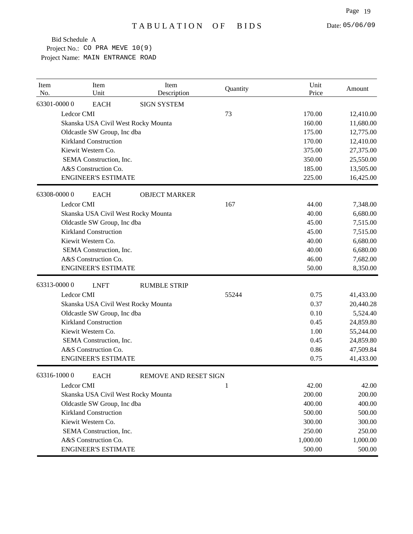| Item<br>No. | Item<br>Unit                        | Item<br>Description          | Quantity | Unit<br>Price | Amount    |
|-------------|-------------------------------------|------------------------------|----------|---------------|-----------|
| 63301-00000 | <b>EACH</b>                         | <b>SIGN SYSTEM</b>           |          |               |           |
|             | Ledcor CMI                          |                              | 73       | 170.00        | 12,410.00 |
|             | Skanska USA Civil West Rocky Mounta |                              |          | 160.00        | 11,680.00 |
|             | Oldcastle SW Group, Inc dba         |                              |          | 175.00        | 12,775.00 |
|             | <b>Kirkland Construction</b>        |                              |          | 170.00        | 12,410.00 |
|             | Kiewit Western Co.                  |                              |          | 375.00        | 27,375.00 |
|             | SEMA Construction, Inc.             |                              |          | 350.00        | 25,550.00 |
|             | A&S Construction Co.                |                              |          | 185.00        | 13,505.00 |
|             | <b>ENGINEER'S ESTIMATE</b>          |                              |          | 225.00        | 16,425.00 |
| 63308-00000 | <b>EACH</b>                         | <b>OBJECT MARKER</b>         |          |               |           |
|             | Ledcor CMI                          |                              | 167      | 44.00         | 7,348.00  |
|             | Skanska USA Civil West Rocky Mounta |                              |          | 40.00         | 6,680.00  |
|             | Oldcastle SW Group, Inc dba         |                              |          | 45.00         | 7,515.00  |
|             | <b>Kirkland Construction</b>        |                              |          | 45.00         | 7,515.00  |
|             | Kiewit Western Co.                  |                              |          | 40.00         | 6,680.00  |
|             | SEMA Construction, Inc.             |                              |          | 40.00         | 6,680.00  |
|             | A&S Construction Co.                |                              |          | 46.00         | 7,682.00  |
|             | <b>ENGINEER'S ESTIMATE</b>          |                              |          | 50.00         | 8,350.00  |
| 63313-00000 | <b>LNFT</b>                         | <b>RUMBLE STRIP</b>          |          |               |           |
|             | Ledcor CMI                          |                              | 55244    | 0.75          | 41,433.00 |
|             | Skanska USA Civil West Rocky Mounta |                              |          | 0.37          | 20,440.28 |
|             | Oldcastle SW Group, Inc dba         |                              |          | 0.10          | 5,524.40  |
|             | <b>Kirkland Construction</b>        |                              |          | 0.45          | 24,859.80 |
|             | Kiewit Western Co.                  |                              |          | 1.00          | 55,244.00 |
|             | SEMA Construction, Inc.             |                              |          | 0.45          | 24,859.80 |
|             | A&S Construction Co.                |                              |          | 0.86          | 47,509.84 |
|             | <b>ENGINEER'S ESTIMATE</b>          |                              |          | 0.75          | 41,433.00 |
| 63316-10000 | <b>EACH</b>                         | <b>REMOVE AND RESET SIGN</b> |          |               |           |
|             | Ledcor CMI                          |                              | 1        | 42.00         | 42.00     |
|             | Skanska USA Civil West Rocky Mounta |                              |          | 200.00        | 200.00    |
|             | Oldcastle SW Group, Inc dba         |                              |          | 400.00        | 400.00    |
|             | <b>Kirkland Construction</b>        |                              |          | 500.00        | 500.00    |
|             | Kiewit Western Co.                  |                              |          | 300.00        | 300.00    |
|             | SEMA Construction, Inc.             |                              |          | 250.00        | 250.00    |
|             | A&S Construction Co.                |                              |          | 1,000.00      | 1,000.00  |
|             | <b>ENGINEER'S ESTIMATE</b>          |                              |          | 500.00        | 500.00    |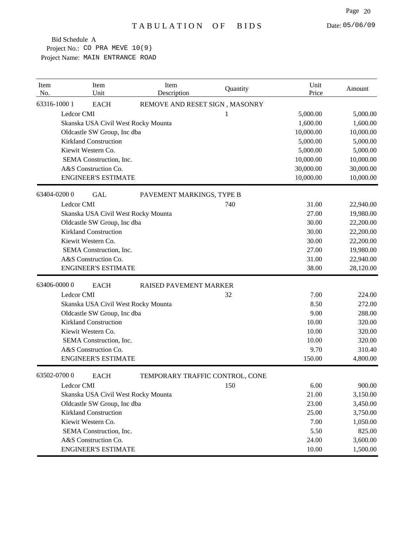| Item<br>No.  | Item<br>Unit                        | Item<br>Description             | Quantity | Unit<br>Price | Amount    |
|--------------|-------------------------------------|---------------------------------|----------|---------------|-----------|
| 63316-1000 1 | <b>EACH</b>                         | REMOVE AND RESET SIGN, MASONRY  |          |               |           |
|              | Ledcor CMI                          |                                 | 1        | 5,000.00      | 5,000.00  |
|              | Skanska USA Civil West Rocky Mounta |                                 |          | 1,600.00      | 1,600.00  |
|              | Oldcastle SW Group, Inc dba         |                                 |          | 10,000.00     | 10,000.00 |
|              | <b>Kirkland Construction</b>        |                                 |          | 5,000.00      | 5,000.00  |
|              | Kiewit Western Co.                  |                                 |          | 5,000.00      | 5,000.00  |
|              | SEMA Construction, Inc.             |                                 |          | 10,000.00     | 10,000.00 |
|              | A&S Construction Co.                |                                 |          | 30,000.00     | 30,000.00 |
|              | <b>ENGINEER'S ESTIMATE</b>          |                                 |          | 10,000.00     | 10,000.00 |
|              | 63404-02000<br><b>GAL</b>           | PAVEMENT MARKINGS, TYPE B       |          |               |           |
|              | Ledcor CMI                          |                                 | 740      | 31.00         | 22,940.00 |
|              | Skanska USA Civil West Rocky Mounta |                                 |          | 27.00         | 19,980.00 |
|              | Oldcastle SW Group, Inc dba         |                                 |          | 30.00         | 22,200.00 |
|              | <b>Kirkland Construction</b>        |                                 |          | 30.00         | 22,200.00 |
|              | Kiewit Western Co.                  |                                 |          | 30.00         | 22,200.00 |
|              | SEMA Construction, Inc.             |                                 |          | 27.00         | 19,980.00 |
|              | A&S Construction Co.                |                                 |          | 31.00         | 22,940.00 |
|              | <b>ENGINEER'S ESTIMATE</b>          |                                 |          | 38.00         | 28,120.00 |
|              | 63406-00000<br><b>EACH</b>          | RAISED PAVEMENT MARKER          |          |               |           |
|              | Ledcor CMI                          |                                 | 32       | 7.00          | 224.00    |
|              | Skanska USA Civil West Rocky Mounta |                                 |          | 8.50          | 272.00    |
|              | Oldcastle SW Group, Inc dba         |                                 |          | 9.00          | 288.00    |
|              | <b>Kirkland Construction</b>        |                                 |          | 10.00         | 320.00    |
|              | Kiewit Western Co.                  |                                 |          | 10.00         | 320.00    |
|              | SEMA Construction, Inc.             |                                 |          | 10.00         | 320.00    |
|              | A&S Construction Co.                |                                 |          | 9.70          | 310.40    |
|              | <b>ENGINEER'S ESTIMATE</b>          |                                 |          | 150.00        | 4,800.00  |
|              | 63502-07000<br><b>EACH</b>          | TEMPORARY TRAFFIC CONTROL, CONE |          |               |           |
|              | Ledcor CMI                          |                                 | 150      | 6.00          | 900.00    |
|              | Skanska USA Civil West Rocky Mounta |                                 |          | 21.00         | 3,150.00  |
|              | Oldcastle SW Group, Inc dba         |                                 |          | 23.00         | 3,450.00  |
|              | <b>Kirkland Construction</b>        |                                 |          | 25.00         | 3,750.00  |
|              | Kiewit Western Co.                  |                                 |          | 7.00          | 1,050.00  |
|              | SEMA Construction, Inc.             |                                 |          | 5.50          | 825.00    |
|              | A&S Construction Co.                |                                 |          | 24.00         | 3,600.00  |
|              | <b>ENGINEER'S ESTIMATE</b>          |                                 |          | 10.00         | 1,500.00  |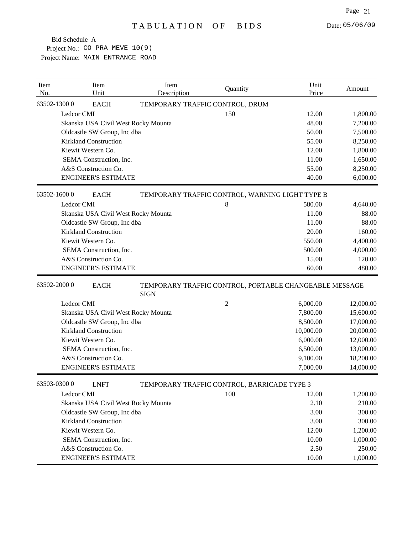| Item<br>No. | Item<br>Unit                        | Item<br>Description             | Quantity                                               | Unit<br>Price | Amount    |
|-------------|-------------------------------------|---------------------------------|--------------------------------------------------------|---------------|-----------|
|             | 63502-13000<br><b>EACH</b>          | TEMPORARY TRAFFIC CONTROL, DRUM |                                                        |               |           |
|             | Ledcor CMI                          |                                 | 150                                                    | 12.00         | 1,800.00  |
|             | Skanska USA Civil West Rocky Mounta |                                 |                                                        | 48.00         | 7,200.00  |
|             | Oldcastle SW Group, Inc dba         |                                 |                                                        | 50.00         | 7,500.00  |
|             | <b>Kirkland Construction</b>        |                                 |                                                        | 55.00         | 8,250.00  |
|             | Kiewit Western Co.                  |                                 |                                                        | 12.00         | 1,800.00  |
|             | SEMA Construction, Inc.             |                                 |                                                        | 11.00         | 1,650.00  |
|             | A&S Construction Co.                |                                 |                                                        | 55.00         | 8,250.00  |
|             | <b>ENGINEER'S ESTIMATE</b>          |                                 |                                                        | 40.00         | 6,000.00  |
|             | 63502-16000<br><b>EACH</b>          |                                 | TEMPORARY TRAFFIC CONTROL, WARNING LIGHT TYPE B        |               |           |
|             | Ledcor CMI                          |                                 | 8                                                      | 580.00        | 4,640.00  |
|             | Skanska USA Civil West Rocky Mounta |                                 |                                                        | 11.00         | 88.00     |
|             | Oldcastle SW Group, Inc dba         |                                 |                                                        | 11.00         | 88.00     |
|             | <b>Kirkland Construction</b>        |                                 |                                                        | 20.00         | 160.00    |
|             | Kiewit Western Co.                  |                                 |                                                        | 550.00        | 4,400.00  |
|             | SEMA Construction, Inc.             |                                 |                                                        | 500.00        | 4,000.00  |
|             | A&S Construction Co.                |                                 |                                                        | 15.00         | 120.00    |
|             | <b>ENGINEER'S ESTIMATE</b>          |                                 |                                                        | 60.00         | 480.00    |
|             | 63502-20000<br><b>EACH</b>          | <b>SIGN</b>                     | TEMPORARY TRAFFIC CONTROL, PORTABLE CHANGEABLE MESSAGE |               |           |
|             | Ledcor CMI                          |                                 | $\mathfrak{2}$                                         | 6,000.00      | 12,000.00 |
|             | Skanska USA Civil West Rocky Mounta |                                 |                                                        | 7,800.00      | 15,600.00 |
|             | Oldcastle SW Group, Inc dba         |                                 |                                                        | 8,500.00      | 17,000.00 |
|             | <b>Kirkland Construction</b>        |                                 |                                                        | 10,000.00     | 20,000.00 |
|             | Kiewit Western Co.                  |                                 |                                                        | 6,000.00      | 12,000.00 |
|             | SEMA Construction, Inc.             |                                 |                                                        | 6,500.00      | 13,000.00 |
|             | A&S Construction Co.                |                                 |                                                        | 9,100.00      | 18,200.00 |
|             | <b>ENGINEER'S ESTIMATE</b>          |                                 |                                                        | 7,000.00      | 14,000.00 |
|             | 63503-03000<br><b>LNFT</b>          |                                 | TEMPORARY TRAFFIC CONTROL, BARRICADE TYPE 3            |               |           |
|             | Ledcor CMI                          |                                 | 100                                                    | 12.00         | 1,200.00  |
|             | Skanska USA Civil West Rocky Mounta |                                 |                                                        | 2.10          | 210.00    |
|             | Oldcastle SW Group, Inc dba         |                                 |                                                        | 3.00          | 300.00    |
|             | <b>Kirkland Construction</b>        |                                 |                                                        | 3.00          | 300.00    |
|             | Kiewit Western Co.                  |                                 |                                                        | 12.00         | 1,200.00  |
|             | SEMA Construction, Inc.             |                                 |                                                        | 10.00         | 1,000.00  |
|             | A&S Construction Co.                |                                 |                                                        | 2.50          | 250.00    |
|             | <b>ENGINEER'S ESTIMATE</b>          |                                 |                                                        | 10.00         | 1,000.00  |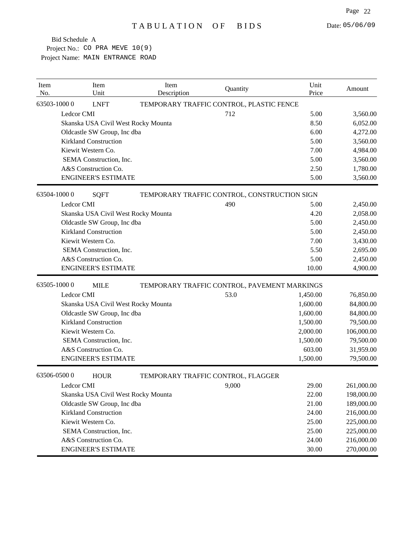| Item<br>No. |             | Item<br>Unit                 | Item<br>Description                 | Quantity                                     | Unit<br>Price | Amount     |
|-------------|-------------|------------------------------|-------------------------------------|----------------------------------------------|---------------|------------|
|             | 63503-10000 | <b>LNFT</b>                  |                                     | TEMPORARY TRAFFIC CONTROL, PLASTIC FENCE     |               |            |
|             | Ledcor CMI  |                              |                                     | 712                                          | 5.00          | 3,560.00   |
|             |             |                              | Skanska USA Civil West Rocky Mounta |                                              | 8.50          | 6,052.00   |
|             |             | Oldcastle SW Group, Inc dba  |                                     |                                              | 6.00          | 4,272.00   |
|             |             | <b>Kirkland Construction</b> |                                     |                                              | 5.00          | 3,560.00   |
|             |             | Kiewit Western Co.           |                                     |                                              | 7.00          | 4,984.00   |
|             |             | SEMA Construction, Inc.      |                                     |                                              | 5.00          | 3,560.00   |
|             |             | A&S Construction Co.         |                                     |                                              | 2.50          | 1,780.00   |
|             |             | <b>ENGINEER'S ESTIMATE</b>   |                                     |                                              | 5.00          | 3,560.00   |
|             | 63504-10000 | <b>SQFT</b>                  |                                     | TEMPORARY TRAFFIC CONTROL, CONSTRUCTION SIGN |               |            |
|             | Ledcor CMI  |                              |                                     | 490                                          | 5.00          | 2,450.00   |
|             |             |                              | Skanska USA Civil West Rocky Mounta |                                              | 4.20          | 2,058.00   |
|             |             | Oldcastle SW Group, Inc dba  |                                     |                                              | 5.00          | 2,450.00   |
|             |             | <b>Kirkland Construction</b> |                                     |                                              | 5.00          | 2,450.00   |
|             |             | Kiewit Western Co.           |                                     |                                              | 7.00          | 3,430.00   |
|             |             | SEMA Construction, Inc.      |                                     |                                              | 5.50          | 2,695.00   |
|             |             | A&S Construction Co.         |                                     |                                              | 5.00          | 2,450.00   |
|             |             | <b>ENGINEER'S ESTIMATE</b>   |                                     |                                              | 10.00         | 4,900.00   |
|             | 63505-10000 | <b>MILE</b>                  |                                     | TEMPORARY TRAFFIC CONTROL, PAVEMENT MARKINGS |               |            |
|             | Ledcor CMI  |                              |                                     | 53.0                                         | 1,450.00      | 76,850.00  |
|             |             |                              | Skanska USA Civil West Rocky Mounta |                                              | 1,600.00      | 84,800.00  |
|             |             | Oldcastle SW Group, Inc dba  |                                     |                                              | 1,600.00      | 84,800.00  |
|             |             | <b>Kirkland Construction</b> |                                     |                                              | 1,500.00      | 79,500.00  |
|             |             | Kiewit Western Co.           |                                     |                                              | 2,000.00      | 106,000.00 |
|             |             | SEMA Construction, Inc.      |                                     |                                              | 1,500.00      | 79,500.00  |
|             |             | A&S Construction Co.         |                                     |                                              | 603.00        | 31,959.00  |
|             |             | <b>ENGINEER'S ESTIMATE</b>   |                                     |                                              | 1,500.00      | 79,500.00  |
|             | 63506-05000 | <b>HOUR</b>                  |                                     | TEMPORARY TRAFFIC CONTROL, FLAGGER           |               |            |
|             | Ledcor CMI  |                              |                                     | 9,000                                        | 29.00         | 261,000.00 |
|             |             |                              | Skanska USA Civil West Rocky Mounta |                                              | 22.00         | 198,000.00 |
|             |             | Oldcastle SW Group, Inc dba  |                                     |                                              | 21.00         | 189,000.00 |
|             |             | <b>Kirkland Construction</b> |                                     |                                              | 24.00         | 216,000.00 |
|             |             | Kiewit Western Co.           |                                     |                                              | 25.00         | 225,000.00 |
|             |             | SEMA Construction, Inc.      |                                     |                                              | 25.00         | 225,000.00 |
|             |             | A&S Construction Co.         |                                     |                                              | 24.00         | 216,000.00 |
|             |             | <b>ENGINEER'S ESTIMATE</b>   |                                     |                                              | 30.00         | 270,000.00 |